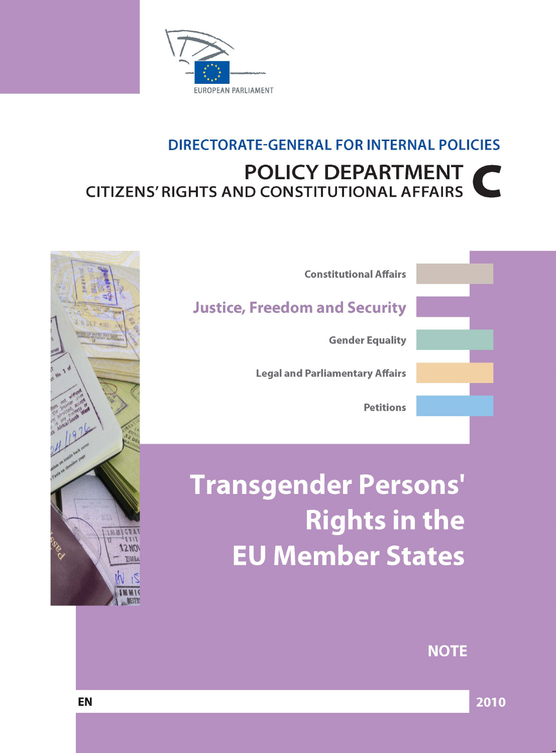

## **DIRECTORATE-GENERAL FOR INTERNAL POLICIES POLICY DEPARTMENT CITIZENS' RIGHTS AND CONSTITUTIONAL AFFAIRS**



# **Transgender Persons' Rights in the EU Member States**

**NOTE** 



2010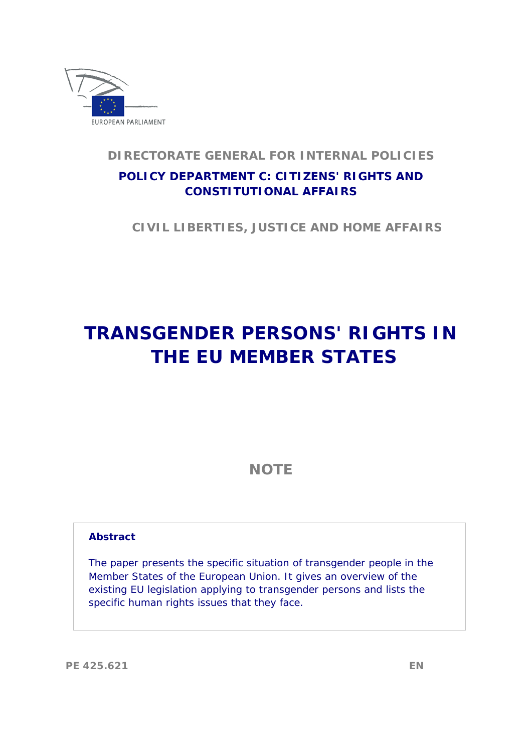

## **DIRECTORATE GENERAL FOR INTERNAL POLICIES POLICY DEPARTMENT C: CITIZENS' RIGHTS AND CONSTITUTIONAL AFFAIRS**

 **CIVIL LIBERTIES, JUSTICE AND HOME AFFAIRS** 

## **TRANSGENDER PERSONS' RIGHTS IN THE EU MEMBER STATES**

**NOTE** 

#### **Abstract**

The paper presents the specific situation of transgender people in the Member States of the European Union. It gives an overview of the existing EU legislation applying to transgender persons and lists the specific human rights issues that they face.

**PE 425.621 EN**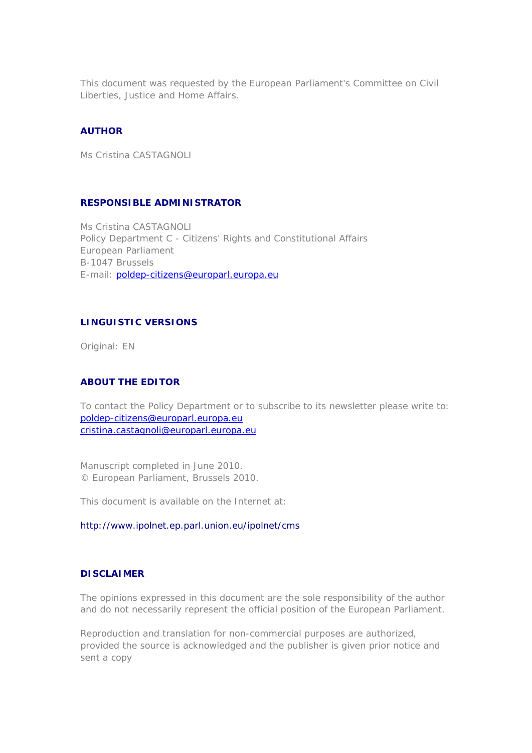This document was requested by the European Parliament's Committee on Civil Liberties, Justice and Home Affairs.

#### **AUTHOR**

Ms Cristina CASTAGNOLI

#### **RESPONSIBLE ADMINISTRATOR**

Ms Cristina CASTAGNOLI Policy Department C - Citizens' Rights and Constitutional Affairs European Parliament B-1047 Brussels E-mail: [poldep-citizens@europarl.europa.eu](mailto:poldep-citizens@europarl.europa.eu)

#### **LINGUISTIC VERSIONS**

Original: EN

#### **ABOUT THE EDITOR**

To contact the Policy Department or to subscribe to its newsletter please write to: [poldep-citizens@europarl.europa.eu](mailto:poldep-citizens@europarl.europa.eu) [cristina.castagnoli@europarl.europa.eu](mailto:cristina.castagnoli@europarl.europa.eu)

Manuscript completed in June 2010. © European Parliament, Brussels 2010.

This document is available on the Internet at:

#### <http://www.ipolnet.ep.parl.union.eu/ipolnet/cms>

#### **DISCLAIMER**

The opinions expressed in this document are the sole responsibility of the author and do not necessarily represent the official position of the European Parliament.

Reproduction and translation for non-commercial purposes are authorized, provided the source is acknowledged and the publisher is given prior notice and sent a copy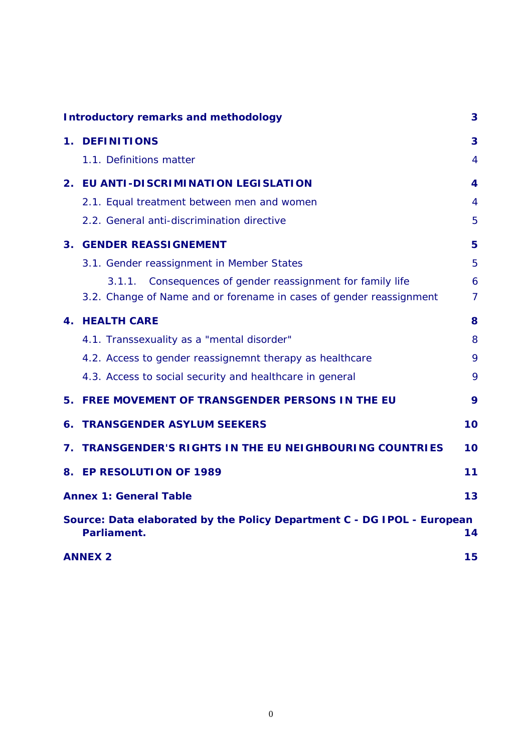|                | <b>Introductory remarks and methodology</b>                                            | 3              |  |  |  |
|----------------|----------------------------------------------------------------------------------------|----------------|--|--|--|
|                | 1. DEFINITIONS                                                                         | 3              |  |  |  |
|                | 1.1. Definitions matter                                                                | 4              |  |  |  |
| 2.             | EU ANTI-DISCRIMINATION LEGISLATION                                                     | 4              |  |  |  |
|                | 2.1. Equal treatment between men and women                                             | 4              |  |  |  |
|                | 2.2. General anti-discrimination directive                                             | 5              |  |  |  |
| 3 <sub>1</sub> | <b>GENDER REASSIGNEMENT</b>                                                            | 5              |  |  |  |
|                | 3.1. Gender reassignment in Member States                                              | 5              |  |  |  |
|                | Consequences of gender reassignment for family life<br>3.1.1.                          | 6              |  |  |  |
|                | 3.2. Change of Name and or forename in cases of gender reassignment                    | $\overline{7}$ |  |  |  |
|                | <b>4. HEALTH CARE</b>                                                                  | 8              |  |  |  |
|                | 4.1. Transsexuality as a "mental disorder"                                             | 8              |  |  |  |
|                | 4.2. Access to gender reassignemnt therapy as healthcare                               | 9              |  |  |  |
|                | 4.3. Access to social security and healthcare in general                               | 9              |  |  |  |
|                | 5. FREE MOVEMENT OF TRANSGENDER PERSONS IN THE EU                                      | 9              |  |  |  |
| 6.             | <b>TRANSGENDER ASYLUM SEEKERS</b>                                                      | 10             |  |  |  |
| 7.             | <b>TRANSGENDER'S RIGHTS IN THE EU NEIGHBOURING COUNTRIES</b>                           | 10             |  |  |  |
|                | 8. EP RESOLUTION OF 1989                                                               | 11             |  |  |  |
|                | <b>Annex 1: General Table</b>                                                          | 13             |  |  |  |
|                | Source: Data elaborated by the Policy Department C - DG IPOL - European<br>Parliament. | 14             |  |  |  |
|                | 15<br><b>ANNEX 2</b>                                                                   |                |  |  |  |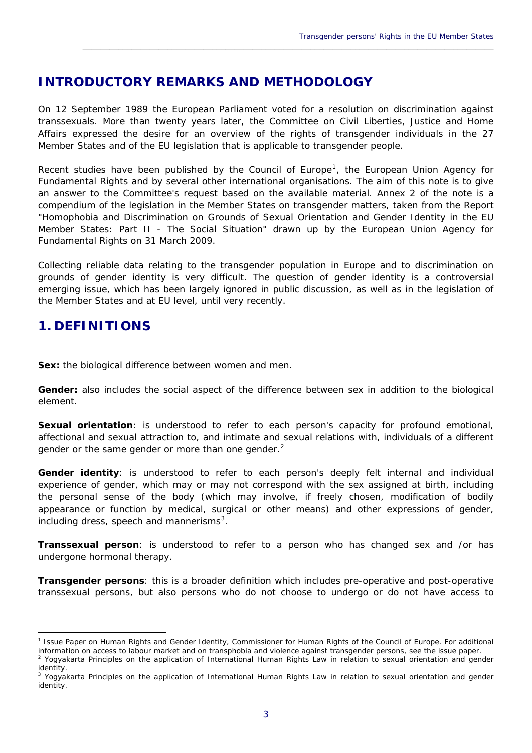## <span id="page-5-0"></span>**INTRODUCTORY REMARKS AND METHODOLOGY**

On 12 September 1989 the European Parliament voted for a resolution on discrimination against transsexuals. More than twenty years later, the Committee on Civil Liberties, Justice and Home Affairs expressed the desire for an overview of the rights of transgender individuals in the 27 Member States and of the EU legislation that is applicable to transgender people.

\_\_\_\_\_\_\_\_\_\_\_\_\_\_\_\_\_\_\_\_\_\_\_\_\_\_\_\_\_\_\_\_\_\_\_\_\_\_\_\_\_\_\_\_\_\_\_\_\_\_\_\_\_\_\_\_\_\_\_\_\_\_\_\_\_\_\_\_\_\_\_\_\_\_\_\_\_\_\_\_\_\_\_\_\_\_\_\_\_\_\_\_

Recent studies have been published by the Council of Europe<sup>[1](#page-5-2)</sup>, the European Union Agency for Fundamental Rights and by several other international organisations. The aim of this note is to give an answer to the Committee's request based on the available material. Annex 2 of the note is a compendium of the legislation in the Member States on transgender matters, taken from the Report "Homophobia and Discrimination on Grounds of Sexual Orientation and Gender Identity in the EU Member States: Part II - The Social Situation" drawn up by the European Union Agency for Fundamental Rights on 31 March 2009.

Collecting reliable data relating to the transgender population in Europe and to discrimination on grounds of gender identity is very difficult. The question of gender identity is a controversial emerging issue, which has been largely ignored in public discussion, as well as in the legislation of the Member States and at EU level, until very recently.

## <span id="page-5-1"></span>**1. DEFINITIONS**

**Sex:** the biological difference between women and men.

**Gender:** also includes the social aspect of the difference between sex in addition to the biological element.

**Sexual orientation**: is understood to refer to each person's capacity for profound emotional, affectional and sexual attraction to, and intimate and sexual relations with, individuals of a different gender or the same gender or more than one gender.<sup>[2](#page-5-3)</sup>

Gender identity: is understood to refer to each person's deeply felt internal and individual experience of gender, which may or may not correspond with the sex assigned at birth, including the personal sense of the body (which may involve, if freely chosen, modification of bodily appearance or function by medical, surgical or other means) and other expressions of gender, including dress, speech and mannerisms $3$ .

**Transsexual person**: is understood to refer to a person who has changed sex and /or has undergone hormonal therapy.

**Transgender persons**: this is a broader definition which includes pre-operative and post-operative transsexual persons, but also persons who do not choose to undergo or do not have access to

<span id="page-5-2"></span> $\overline{a}$ <sup>1</sup> Issue Paper on Human Rights and Gender Identity, Commissioner for Human Rights of the Council of Europe. For additional information on access to labour market and on transphobia and violence against transgender persons, see the issue paper. 2

<span id="page-5-3"></span>Yogyakarta Principles on the application of International Human Rights Law in relation to sexual orientation and gender identity.

<span id="page-5-4"></span><sup>&</sup>lt;sup>3</sup> Yogyakarta Principles on the application of International Human Rights Law in relation to sexual orientation and gender identity.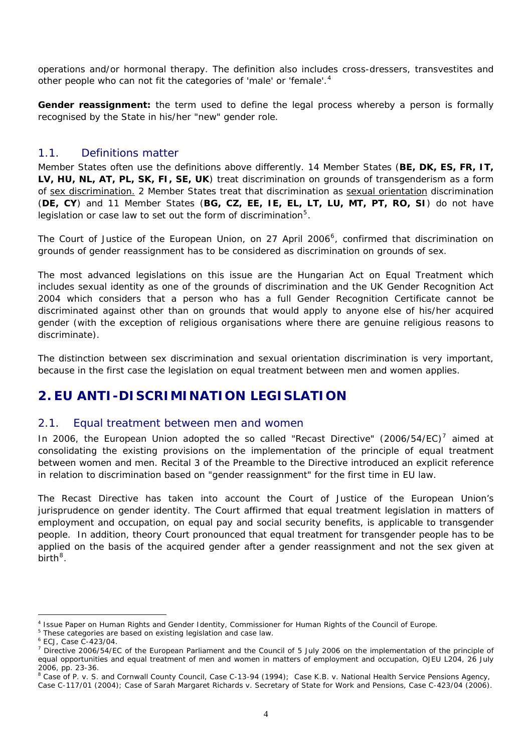operations and/or hormonal therapy. The definition also includes cross-dressers, transvestites and other people who can not fit the categories of 'male' or 'female'.<sup>[4](#page-6-3)</sup>

**Gender reassignment:** the term used to define the legal process whereby a person is formally recognised by the State in his/her "new" gender role.

#### <span id="page-6-0"></span>1.1. Definitions matter

Member States often use the definitions above differently. 14 Member States (**BE, DK, ES, FR, IT, LV, HU, NL, AT, PL, SK, FI, SE, UK**) treat discrimination on grounds of transgenderism as a form of sex discrimination. 2 Member States treat that discrimination as sexual orientation discrimination (**DE, CY**) and 11 Member States (**BG, CZ, EE, IE, EL, LT, LU, MT, PT, RO, SI**) do not have legislation or case law to set out the form of discrimination<sup>[5](#page-6-4)</sup>.

The Court of Justice of the European Union, on 27 April 200[6](#page-6-5)<sup>6</sup>, confirmed that discrimination on grounds of gender reassignment has to be considered as discrimination on grounds of sex.

The most advanced legislations on this issue are the Hungarian Act on Equal Treatment which includes sexual identity as one of the grounds of discrimination and the UK Gender Recognition Act 2004 which considers that a person who has a full Gender Recognition Certificate cannot be discriminated against other than on grounds that would apply to anyone else of his/her acquired gender (with the exception of religious organisations where there are genuine religious reasons to discriminate).

The distinction between sex discrimination and sexual orientation discrimination is very important, because in the first case the legislation on equal treatment between men and women applies.

## <span id="page-6-1"></span>**2. EU ANTI-DISCRIMINATION LEGISLATION**

#### <span id="page-6-2"></span>2.1. Equal treatment between men and women

In 2006, the European Union adopted the so called "Recast Directive" (2006/54/EC)<sup>[7](#page-6-6)</sup> aimed at consolidating the existing provisions on the implementation of the principle of equal treatment between women and men. Recital 3 of the Preamble to the Directive introduced an explicit reference in relation to discrimination based on "gender reassignment" for the first time in EU law.

The Recast Directive has taken into account the Court of Justice of the European Union's jurisprudence on gender identity. The Court affirmed that equal treatment legislation in matters of employment and occupation, on equal pay and social security benefits, is applicable to transgender people. In addition, theory Court pronounced that equal treatment for transgender people has to be applied on the basis of the acquired gender after a gender reassignment and not the sex given at birth $8$ .

 $\overline{a}$ 4 Issue Paper on Human Rights and Gender Identity, Commissioner for Human Rights of the Council of Europe.

<span id="page-6-4"></span><span id="page-6-3"></span><sup>&</sup>lt;sup>5</sup> These categories are based on existing legislation and case law.

<sup>6</sup> ECJ, Case C-423/04.

<span id="page-6-6"></span><span id="page-6-5"></span><sup>&</sup>lt;sup>7</sup> Directive 2006/54/EC of the European Parliament and the Council of 5 July 2006 on the implementation of the principle of equal opportunities and equal treatment of men and women in matters of employment and occupation, OJEU L204, 26 July 2006, pp. 23-36.

<span id="page-6-7"></span><sup>&</sup>lt;sup>8</sup> Case of P. v. S. and Cornwall County Council, Case C-13-94 (1994); Case K.B. v. National Health Service Pensions Agency, Case C-117/01 (2004); Case of Sarah Margaret Richards v. Secretary of State for Work and Pensions, Case C-423/04 (2006).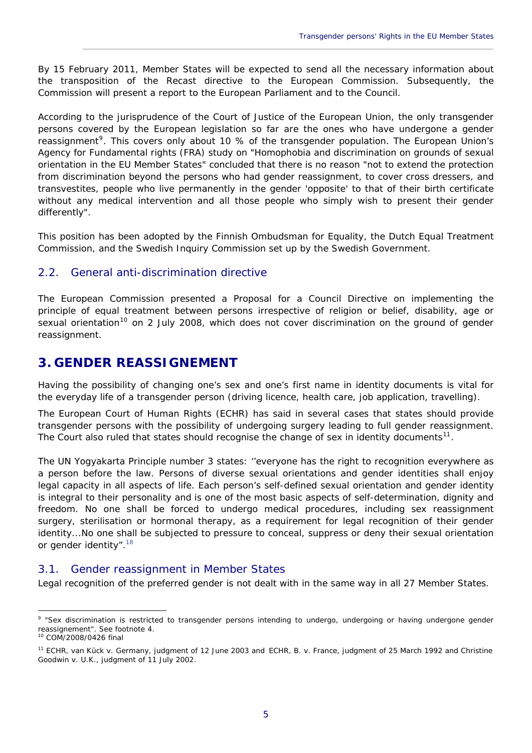By 15 February 2011, Member States will be expected to send all the necessary information about the transposition of the Recast directive to the European Commission. Subsequently, the Commission will present a report to the European Parliament and to the Council.

\_\_\_\_\_\_\_\_\_\_\_\_\_\_\_\_\_\_\_\_\_\_\_\_\_\_\_\_\_\_\_\_\_\_\_\_\_\_\_\_\_\_\_\_\_\_\_\_\_\_\_\_\_\_\_\_\_\_\_\_\_\_\_\_\_\_\_\_\_\_\_\_\_\_\_\_\_\_\_\_\_\_\_\_\_\_\_\_\_\_\_\_

According to the jurisprudence of the Court of Justice of the European Union, the only transgender persons covered by the European legislation so far are the ones who have undergone a gender reassignment<sup>[9](#page-7-3)</sup>. This covers only about 10 % of the transgender population. The European Union's Agency for Fundamental rights (FRA) study on "Homophobia and discrimination on grounds of sexual orientation in the EU Member States" concluded that there is no reason "not to extend the protection from discrimination beyond the persons who had gender reassignment, to cover cross dressers, and transvestites, people who live permanently in the gender 'opposite' to that of their birth certificate without any medical intervention and all those people who simply wish to present their gender differently".

This position has been adopted by the Finnish Ombudsman for Equality, the Dutch Equal Treatment Commission, and the Swedish Inquiry Commission set up by the Swedish Government.

#### <span id="page-7-0"></span>2.2. General anti-discrimination directive

The European Commission presented a Proposal for a Council Directive on implementing the principle of equal treatment between persons irrespective of religion or belief, disability, age or sexual orientation<sup>[10](#page-7-4)</sup> on 2 July 2008, which does not cover discrimination on the ground of gender reassignment.

## <span id="page-7-1"></span>**3. GENDER REASSIGNEMENT**

Having the possibility of changing one's sex and one's first name in identity documents is vital for the everyday life of a transgender person (driving licence, health care, job application, travelling).

The European Court of Human Rights (ECHR) has said in several cases that states should provide transgender persons with the possibility of undergoing surgery leading to full gender reassignment. The Court also ruled that states should recognise the change of sex in identity documents<sup>[11](#page-7-5)</sup>.

The UN Yogyakarta Principle number 3 states: '*'everyone has the right to recognition everywhere as a person before the law. Persons of diverse sexual orientations and gender identities shall enjoy legal capacity in all aspects of life. Each person's self-defined sexual orientation and gender identity is integral to their personality and is one of the most basic aspects of self-determination, dignity and freedom. No one shall be forced to undergo medical procedures, including sex reassignment surgery, sterilisation or hormonal therapy, as a requirement for legal recognition of their gender identity...No one shall be subjected to pressure to conceal, suppress or deny their sexual orientation or gender identity*".[18](https://wcd.coe.int/ViewDoc.jsp?id=1476365#P88_18709)

#### <span id="page-7-2"></span>3.1. Gender reassignment in Member States

Legal recognition of the preferred gender is not dealt with in the same way in all 27 Member States.

<span id="page-7-3"></span> $\overline{a}$ <sup>9</sup> "Sex discrimination is restricted to transgender persons intending to undergo, undergoing or having undergone gender reassignement". See footnote 4. 10 COM/2008/0426 final

<span id="page-7-5"></span><span id="page-7-4"></span><sup>11</sup> ECHR, van Kück v. Germany, judgment of 12 June 2003 and ECHR, B. v. France, judgment of 25 March 1992 and Christine Goodwin v. U.K., judgment of 11 July 2002.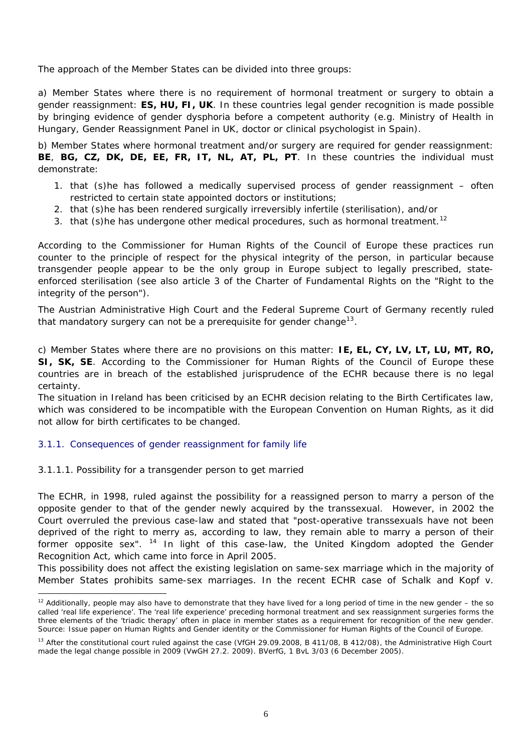The approach of the Member States can be divided into three groups:

a) Member States where there is no requirement of hormonal treatment or surgery to obtain a gender reassignment: **ES, HU, FI, UK**. In these countries legal gender recognition is made possible by bringing evidence of gender dysphoria before a competent authority (e.g. Ministry of Health in Hungary, Gender Reassignment Panel in UK, doctor or clinical psychologist in Spain).

b) Member States where hormonal treatment and/or surgery are required for gender reassignment: **BE**, **BG, CZ, DK, DE, EE, FR, IT, NL, AT, PL, PT**. In these countries the individual must demonstrate:

- 1. that (s)he has followed a medically supervised process of gender reassignment often restricted to certain state appointed doctors or institutions;
- 2. that (s)he has been rendered surgically irreversibly infertile (sterilisation), and/or
- 3. that (s) he has undergone other medical procedures, such as hormonal treatment.<sup>[12](#page-8-1)</sup>

According to the Commissioner for Human Rights of the Council of Europe these practices run counter to the principle of respect for the physical integrity of the person, in particular because transgender people appear to be the only group in Europe subject to legally prescribed, stateenforced sterilisation (see also article 3 of the Charter of Fundamental Rights on the "Right to the integrity of the person").

The Austrian Administrative High Court and the Federal Supreme Court of Germany recently ruled that mandatory surgery can not be a prerequisite for gender change<sup>[13](#page-8-2)</sup>.

c) Member States where there are no provisions on this matter: **IE, EL, CY, LV, LT, LU, MT, RO, SI, SK, SE**. According to the Commissioner for Human Rights of the Council of Europe these countries are in breach of the established jurisprudence of the ECHR because there is no legal certainty.

The situation in Ireland has been criticised by an ECHR decision relating to the Birth Certificates law, which was considered to be incompatible with the European Convention on Human Rights, as it did not allow for birth certificates to be changed.

#### <span id="page-8-0"></span>3.1.1. Consequences of gender reassignment for family life

#### 3.1.1.1. Possibility for a transgender person to get married

 $\overline{a}$ 

The ECHR, in 1998, ruled against the possibility for a reassigned person to marry a person of the opposite gender to that of the gender newly acquired by the transsexual. However, in 2002 the Court overruled the previous case-law and stated that "post-operative transsexuals have not been deprived of the right to merry as, according to law, they remain able to marry a person of their former opposite sex".  $14$  In light of this case-law, the United Kingdom adopted the Gender Recognition Act, which came into force in April 2005.

This possibility does not affect the existing legislation on same-sex marriage which in the majority of Member States prohibits same-sex marriages. In the recent ECHR case of Schalk and Kopf v.

<span id="page-8-1"></span> $12$  Additionally, people may also have to demonstrate that they have lived for a long period of time in the new gender – the so called 'real life experience'. The 'real life experience' preceding hormonal treatment and sex reassignment surgeries forms the three elements of the 'triadic therapy' often in place in member states as a requirement for recognition of the new gender. Source: Issue paper on Human Rights and Gender identity or the Commissioner for Human Rights of the Council of Europe.

<span id="page-8-3"></span><span id="page-8-2"></span><sup>&</sup>lt;sup>13</sup> After the constitutional court ruled against the case (VfGH 29.09.2008, B 411/08, B 412/08), the Administrative High Court made the legal change possible in 2009 (VwGH 27.2. 2009). BVerfG, 1 BvL 3/03 (6 December 2005).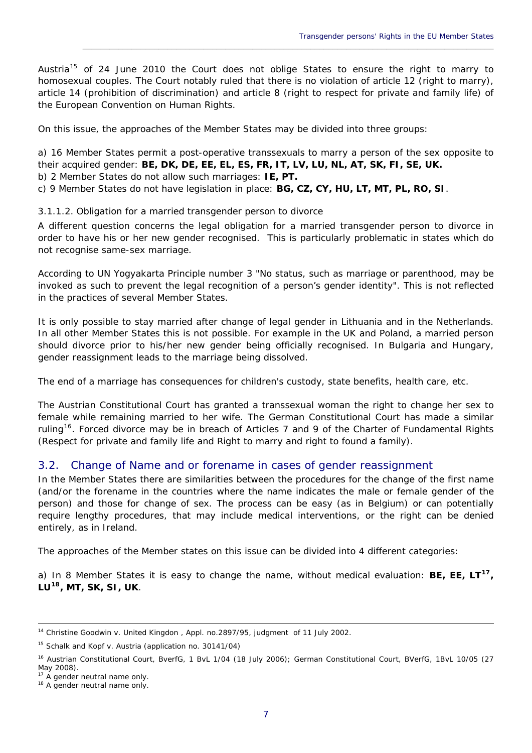Austria<sup>[15](#page-9-1)</sup> of 24 June 2010 the Court does not oblige States to ensure the right to marry to homosexual couples. The Court notably ruled that there is no violation of article 12 (right to marry), article 14 (prohibition of discrimination) and article 8 (right to respect for private and family life) of the European Convention on Human Rights.

\_\_\_\_\_\_\_\_\_\_\_\_\_\_\_\_\_\_\_\_\_\_\_\_\_\_\_\_\_\_\_\_\_\_\_\_\_\_\_\_\_\_\_\_\_\_\_\_\_\_\_\_\_\_\_\_\_\_\_\_\_\_\_\_\_\_\_\_\_\_\_\_\_\_\_\_\_\_\_\_\_\_\_\_\_\_\_\_\_\_\_\_

On this issue, the approaches of the Member States may be divided into three groups:

a) 16 Member States permit a post-operative transsexuals to marry a person of the sex opposite to their acquired gender: **BE, DK, DE, EE, EL, ES, FR, IT, LV, LU, NL, AT, SK, FI, SE, UK.**  b) 2 Member States do not allow such marriages: **IE, PT.**

c) 9 Member States do not have legislation in place: **BG, CZ, CY, HU, LT, MT, PL, RO, SI**.

3.1.1.2. Obligation for a married transgender person to divorce

A different question concerns the legal obligation for a married transgender person to divorce in order to have his or her new gender recognised. This is particularly problematic in states which do not recognise same-sex marriage.

According to UN Yogyakarta Principle number 3 "*No status, such as marriage or parenthood, may be invoked as such to prevent the legal recognition of a person's gender identity".* This is not reflected in the practices of several Member States.

It is only possible to stay married after change of legal gender in Lithuania and in the Netherlands. In all other Member States this is not possible. For example in the UK and Poland, a married person should divorce prior to his/her new gender being officially recognised. In Bulgaria and Hungary, gender reassignment leads to the marriage being dissolved.

The end of a marriage has consequences for children's custody, state benefits, health care, etc.

The Austrian Constitutional Court has granted a transsexual woman the right to change her sex to female while remaining married to her wife. The German Constitutional Court has made a similar ruling<sup>[16](#page-9-2)</sup>. Forced divorce may be in breach of Articles 7 and 9 of the Charter of Fundamental Rights (Respect for private and family life and Right to marry and right to found a family).

#### <span id="page-9-0"></span>3.2. Change of Name and or forename in cases of gender reassignment

In the Member States there are similarities between the procedures for the change of the first name (and/or the forename in the countries where the name indicates the male or female gender of the person) and those for change of sex. The process can be easy (as in Belgium) or can potentially require lengthy procedures, that may include medical interventions, or the right can be denied entirely, as in Ireland.

The approaches of the Member states on this issue can be divided into 4 different categories:

a) In 8 Member States it is easy to change the name, without medical evaluation: **BE, EE, LT[17](#page-9-3), LU[18](#page-9-4), MT, SK, SI, UK**.

 $\overline{a}$ 

<sup>&</sup>lt;sup>14</sup> Christine Goodwin v. United Kingdon, Appl. no.2897/95, judgment of 11 July 2002.

<span id="page-9-1"></span><sup>15</sup> *[Schalk and Kopf v. Austria](http://cmiskp.echr.coe.int/tkp197/view.asp?action=html&documentId=870457&portal=hbkm&source=externalbydocnumber&tabl) (application no. 30141/04)* 

<span id="page-9-2"></span><sup>&</sup>lt;sup>16</sup> Austrian Constitutional Court, BverfG, 1 BvL 1/04 (18 July 2006); German Constitutional Court, BVerfG, 1BvL 10/05 (27 May 2008).<br><sup>17</sup> A gender neutral name only.

<span id="page-9-3"></span>

<span id="page-9-4"></span><sup>&</sup>lt;sup>18</sup> A gender neutral name only.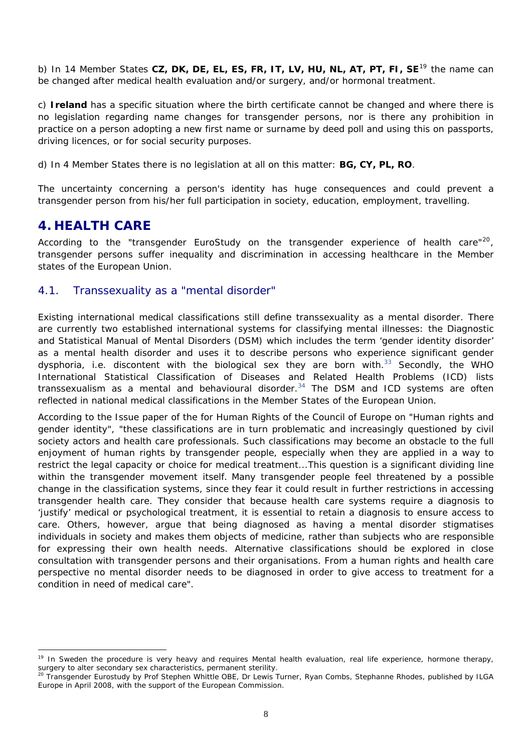b) In 14 Member States **CZ, DK, DE, EL, ES, FR, IT, LV, HU, NL, AT, PT, FI, SE**[19](#page-10-2) the name can be changed after medical health evaluation and/or surgery, and/or hormonal treatment.

c) **Ireland** has a specific situation where the birth certificate cannot be changed and where there is no legislation regarding name changes for transgender persons, nor is there any prohibition in practice on a person adopting a new first name or surname by deed poll and using this on passports, driving licences, or for social security purposes.

d) In 4 Member States there is no legislation at all on this matter: **BG, CY, PL, RO**.

The uncertainty concerning a person's identity has huge consequences and could prevent a transgender person from his/her full participation in society, education, employment, travelling.

## <span id="page-10-0"></span>**4. HEALTH CARE**

 $\overline{a}$ 

According to the "transgender EuroStudy on the transgender experience of health care"<sup>[20](#page-10-3)</sup>, transgender persons suffer inequality and discrimination in accessing healthcare in the Member states of the European Union.

#### <span id="page-10-1"></span>4.1. Transsexuality as a "mental disorder"

Existing international medical classifications still define transsexuality as a mental disorder. There are currently two established international systems for classifying mental illnesses: the *Diagnostic and Statistical Manual of Mental Disorders* (DSM) which includes the term 'gender identity disorder' as a mental health disorder and uses it to describe persons who experience significant gender dysphoria, i.e. discontent with the biological sex they are born with.<sup>33</sup> Secondly, the WHO *International Statistical Classification of Diseases and Related Health Problems* (ICD) lists transsexualism as a mental and behavioural disorder.<sup>34</sup> The DSM and ICD systems are often reflected in national medical classifications in the Member States of the European Union.

According to the Issue paper of the for Human Rights of the Council of Europe on "Human rights and gender identity", "*these classifications are in turn problematic and increasingly questioned by civil society actors and health care professionals. Such classifications may become an obstacle to the full enjoyment of human rights by transgender people, especially when they are applied in a way to restrict the legal capacity or choice for medical treatment...This question is a significant dividing line within the transgender movement itself. Many transgender people feel threatened by a possible change in the classification systems, since they fear it could result in further restrictions in accessing transgender health care. They consider that because health care systems require a diagnosis to 'justify' medical or psychological treatment, it is essential to retain a diagnosis to ensure access to care. Others, however, argue that being diagnosed as having a mental disorder stigmatises individuals in society and makes them objects of medicine, rather than subjects who are responsible for expressing their own health needs. Alternative classifications should be explored in close consultation with transgender persons and their organisations. From a human rights and health care perspective no mental disorder needs to be diagnosed in order to give access to treatment for a condition in need of medical care*".

<span id="page-10-2"></span><sup>&</sup>lt;sup>19</sup> In Sweden the procedure is very heavy and requires Mental health evaluation, real life experience, hormone therapy, surgery to alter secondary sex characteristics, permanent sterility.

<span id="page-10-3"></span> $^{20}$  Transgender Eurostudy by Prof Stephen Whittle OBE, Dr Lewis Turner, Ryan Combs, Stephanne Rhodes, published by ILGA Europe in April 2008, with the support of the European Commission.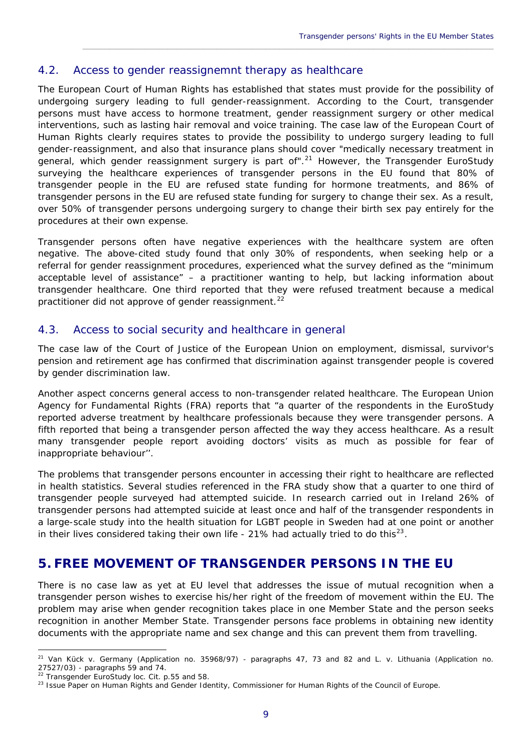#### <span id="page-11-0"></span>4.2. Access to gender reassignemnt therapy as healthcare

The European Court of Human Rights has established that states must provide for the possibility of undergoing surgery leading to full gender-reassignment. According to the Court, transgender persons must have access to hormone treatment, gender reassignment surgery or other medical interventions, such as lasting hair removal and voice training. The case law of the European Court of Human Rights clearly requires states to provide the possibility to undergo surgery leading to full gender-reassignment, and also that insurance plans should cover "*medically necessary treatment in general, which gender reassignment surgery is part of"*. [21](#page-11-3) However, the Transgender EuroStudy surveying the healthcare experiences of transgender persons in the EU found that 80% of transgender people in the EU are refused state funding for hormone treatments, and 86% of transgender persons in the EU are refused state funding for surgery to change their sex. As a result, over 50% of transgender persons undergoing surgery to change their birth sex pay entirely for the procedures at their own expense.

\_\_\_\_\_\_\_\_\_\_\_\_\_\_\_\_\_\_\_\_\_\_\_\_\_\_\_\_\_\_\_\_\_\_\_\_\_\_\_\_\_\_\_\_\_\_\_\_\_\_\_\_\_\_\_\_\_\_\_\_\_\_\_\_\_\_\_\_\_\_\_\_\_\_\_\_\_\_\_\_\_\_\_\_\_\_\_\_\_\_\_\_

Transgender persons often have negative experiences with the healthcare system are often negative. The above-cited study found that only 30% of respondents, when seeking help or a referral for gender reassignment procedures, experienced what the survey defined as the "minimum acceptable level of assistance" – a practitioner wanting to help, but lacking information about transgender healthcare. One third reported that they were refused treatment because a medical practitioner did not approve of gender reassignment.<sup>[22](#page-11-4)</sup>

#### <span id="page-11-1"></span>4.3. Access to social security and healthcare in general

The case law of the Court of Justice of the European Union on employment, dismissal, survivor's pension and retirement age has confirmed that discrimination against transgender people is covered by gender discrimination law.

Another aspect concerns general access to non-transgender related healthcare. The European Union Agency for Fundamental Rights (FRA) reports that "a quarter of the respondents in the EuroStudy reported adverse treatment by healthcare professionals because they were transgender persons. A fifth reported that being a transgender person affected the way they access healthcare. As a result many transgender people report avoiding doctors' visits as much as possible for fear of inappropriate behaviour''.

The problems that transgender persons encounter in accessing their right to healthcare are reflected in health statistics. Several studies referenced in the FRA study show that a quarter to one third of transgender people surveyed had attempted suicide. In research carried out in Ireland 26% of transgender persons had attempted suicide at least once and half of the transgender respondents in a large-scale study into the health situation for LGBT people in Sweden had at one point or another in their lives considered taking their own life - 21% had actually tried to do this<sup>[23](#page-11-5)</sup>.

## <span id="page-11-2"></span>**5. FREE MOVEMENT OF TRANSGENDER PERSONS IN THE EU**

There is no case law as yet at EU level that addresses the issue of mutual recognition when a transgender person wishes to exercise his/her right of the freedom of movement within the EU. The problem may arise when gender recognition takes place in one Member State and the person seeks recognition in another Member State. Transgender persons face problems in obtaining new identity documents with the appropriate name and sex change and this can prevent them from travelling.

 $\overline{a}$ 

<span id="page-11-3"></span><sup>&</sup>lt;sup>21</sup> Van Kück v. Germany (Application no. 35968/97) - paragraphs 47, 73 and 82 and L. v. Lithuania (Application no. 27527/03) - paragraphs 59 and 74.

<span id="page-11-4"></span><sup>&</sup>lt;sup>22</sup> Transgender EuroStudy loc. Cit. p.55 and 58.

<span id="page-11-5"></span><sup>&</sup>lt;sup>23</sup> Issue Paper on Human Rights and Gender Identity, Commissioner for Human Rights of the Council of Europe.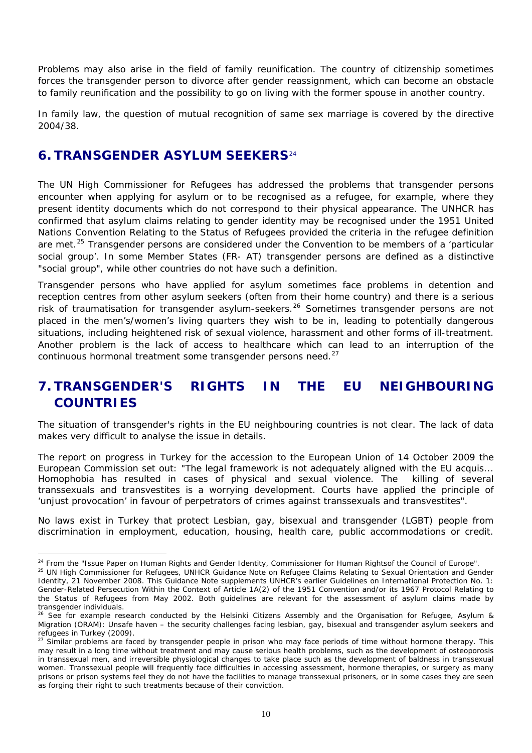Problems may also arise in the field of family reunification. The country of citizenship sometimes forces the transgender person to divorce after gender reassignment, which can become an obstacle to family reunification and the possibility to go on living with the former spouse in another country.

In family law, the question of mutual recognition of same sex marriage is covered by the directive 2004/38.

## <span id="page-12-0"></span>**6. TRANSGENDER ASYLUM SEEKERS**[24](#page-12-2)

 $\overline{a}$ 

The UN High Commissioner for Refugees has addressed the problems that transgender persons encounter when applying for asylum or to be recognised as a refugee, for example, where they present identity documents which do not correspond to their physical appearance. The UNHCR has confirmed that asylum claims relating to gender identity may be recognised under the 1951 United Nations Convention Relating to the Status of Refugees provided the criteria in the refugee definition are met.<sup>[25](#page-12-3)</sup> Transgender persons are considered under the Convention to be members of a 'particular social group'. In some Member States (FR- AT) transgender persons are defined as a distinctive "social group", while other countries do not have such a definition.

Transgender persons who have applied for asylum sometimes face problems in detention and reception centres from other asylum seekers (often from their home country) and there is a serious risk of traumatisation for transgender asylum-seekers.<sup>[26](#page-12-4)</sup> Sometimes transgender persons are not placed in the men's/women's living quarters they wish to be in, leading to potentially dangerous situations, including heightened risk of sexual violence, harassment and other forms of ill-treatment. Another problem is the lack of access to healthcare which can lead to an interruption of the continuous hormonal treatment some transgender persons need.<sup>[27](#page-12-5)</sup>

## <span id="page-12-1"></span>**7. TRANSGENDER'S RIGHTS IN THE EU NEIGHBOURING COUNTRIES**

The situation of transgender's rights in the EU neighbouring countries is not clear. The lack of data makes very difficult to analyse the issue in details.

The report on progress in Turkey for the accession to the European Union of 14 October 2009 the European Commission set out: "*The legal framework is not adequately aligned with the EU acquis... Homophobia has resulted in cases of physical and sexual violence. The killing of several transsexuals and transvestites is a worrying development. Courts have applied the principle of 'unjust provocation' in favour of perpetrators of crimes against transsexuals and transvestites*".

No laws exist in Turkey that protect Lesbian, gay, bisexual and transgender (LGBT) people from discrimination in employment, education, housing, health care, public accommodations or credit.

<span id="page-12-2"></span> $24$  From the "Issue Paper on Human Rights and Gender Identity, Commissioner for Human Rightsof the Council of Europe".

<span id="page-12-3"></span><sup>&</sup>lt;sup>25</sup> UN High Commissioner for Refugees, UNHCR Guidance Note on Refugee Claims Relating to Sexual Orientation and Gender Identity, 21 November 2008. This Guidance Note supplements UNHCR's earlier Guidelines on International Protection No. 1: Gender-Related Persecution Within the Context of Article 1A(2) of the 1951 Convention and/or its 1967 Protocol Relating to the Status of Refugees from May 2002. Both guidelines are relevant for the assessment of asylum claims made by transgender individuals.

<span id="page-12-4"></span><sup>&</sup>lt;sup>26</sup> See for example research conducted by the Helsinki Citizens Assembly and the Organisation for Refugee, Asylum & Migration (ORAM): Unsafe haven – the security challenges facing lesbian, gay, bisexual and transgender asylum seekers and refugees in Turkey (2009).

<span id="page-12-5"></span><sup>&</sup>lt;sup>27</sup> Similar problems are faced by transgender people in prison who may face periods of time without hormone therapy. This may result in a long time without treatment and may cause serious health problems, such as the development of osteoporosis in transsexual men, and irreversible physiological changes to take place such as the development of baldness in transsexual women. Transsexual people will frequently face difficulties in accessing assessment, hormone therapies, or surgery as many prisons or prison systems feel they do not have the facilities to manage transsexual prisoners, or in some cases they are seen as forging their right to such treatments because of their conviction.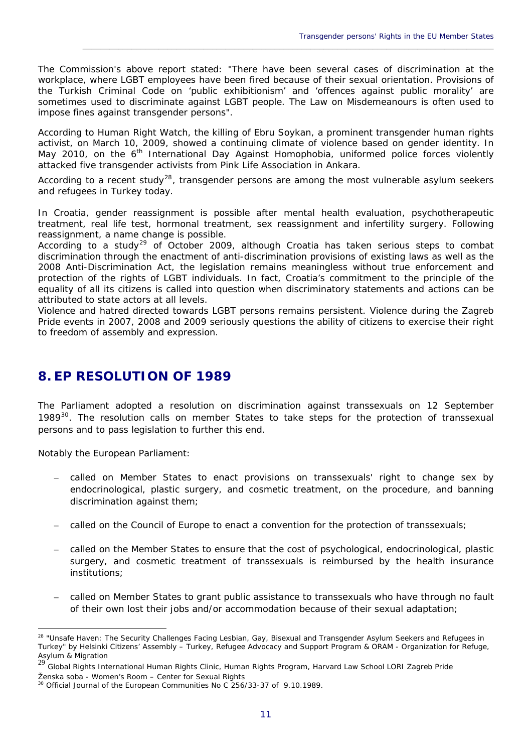The Commission's above report stated: "*There have been several cases of discrimination at the workplace, where LGBT employees have been fired because of their sexual orientation. Provisions of the Turkish Criminal Code on 'public exhibitionism' and 'offences against public morality' are sometimes used to discriminate against LGBT people. The Law on Misdemeanours is often used to impose fines against transgender persons"*.

\_\_\_\_\_\_\_\_\_\_\_\_\_\_\_\_\_\_\_\_\_\_\_\_\_\_\_\_\_\_\_\_\_\_\_\_\_\_\_\_\_\_\_\_\_\_\_\_\_\_\_\_\_\_\_\_\_\_\_\_\_\_\_\_\_\_\_\_\_\_\_\_\_\_\_\_\_\_\_\_\_\_\_\_\_\_\_\_\_\_\_\_

According to Human Right Watch, the killing of Ebru Soykan, a prominent transgender human rights activist, on March 10, 2009, showed a continuing climate of violence based on gender identity. In May 2010, on the 6<sup>th</sup> International Day Against Homophobia, uniformed police forces violently attacked five transgender activists from [Pink Life Association](http://www.pembehayat.org/) in Ankara.

According to a recent study<sup>[28](#page-13-1)</sup>, transgender persons are among the most vulnerable asylum seekers and refugees in Turkey today.

In Croatia, gender reassignment is possible after mental health evaluation, psychotherapeutic treatment, real life test, hormonal treatment, sex reassignment and infertility surgery. Following reassignment, a name change is possible.

According to a study<sup>[29](#page-13-2)</sup> of October 2009, although Croatia has taken serious steps to combat discrimination through the enactment of anti-discrimination provisions of existing laws as well as the 2008 Anti-Discrimination Act, the legislation remains meaningless without true enforcement and protection of the rights of LGBT individuals. In fact, Croatia's commitment to the principle of the equality of all its citizens is called into question when discriminatory statements and actions can be attributed to state actors at all levels.

Violence and hatred directed towards LGBT persons remains persistent. Violence during the Zagreb Pride events in 2007, 2008 and 2009 seriously questions the ability of citizens to exercise their right to freedom of assembly and expression.

## <span id="page-13-0"></span>**8. EP RESOLUTION OF 1989**

The Parliament adopted a resolution on discrimination against transsexuals on 12 September 1989 $30$ . The resolution calls on member States to take steps for the protection of transsexual persons and to pass legislation to further this end.

Notably the European Parliament:

 $\overline{a}$ 

- called on Member States to enact provisions on transsexuals' right to change sex by endocrinological, plastic surgery, and cosmetic treatment, on the procedure, and banning discrimination against them;
- called on the Council of Europe to enact a convention for the protection of transsexuals;
- called on the Member States to ensure that the cost of psychological, endocrinological, plastic surgery, and cosmetic treatment of transsexuals is reimbursed by the health insurance institutions;
- called on Member States to grant public assistance to transsexuals who have through no fault of their own lost their jobs and/or accommodation because of their sexual adaptation;

<span id="page-13-1"></span><sup>&</sup>lt;sup>28</sup> "Unsafe Haven: The Security Challenges Facing Lesbian, Gay, Bisexual and Transgender Asylum Seekers and Refugees in Turkey" by Helsinki Citizens' Assembly – Turkey, Refugee Advocacy and Support Program & ORAM - Organization for Refuge, Asylum & Migration

<span id="page-13-2"></span><sup>29</sup> Global Rights International Human Rights Clinic, Human Rights Program, Harvard Law School LORI Zagreb Pride Ženska soba - Women's Room – Center for Sexual Rights

<span id="page-13-3"></span><sup>&</sup>lt;sup>30</sup> Official Journal of the European Communities No C 256/33-37 of 9.10.1989.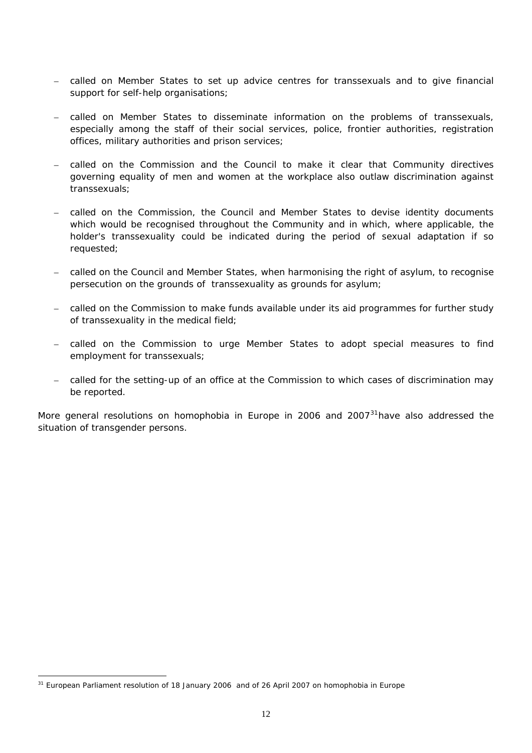- called on Member States to set up advice centres for transsexuals and to give financial support for self-help organisations;
- called on Member States to disseminate information on the problems of transsexuals, especially among the staff of their social services, police, frontier authorities, registration offices, military authorities and prison services;
- called on the Commission and the Council to make it clear that Community directives governing equality of men and women at the workplace also outlaw discrimination against transsexuals;
- called on the Commission, the Council and Member States to devise identity documents which would be recognised throughout the Community and in which, where applicable, the holder's transsexuality could be indicated during the period of sexual adaptation if so requested;
- called on the Council and Member States, when harmonising the right of asylum, to recognise persecution on the grounds of transsexuality as grounds for asylum;
- called on the Commission to make funds available under its aid programmes for further study of transsexuality in the medical field;
- called on the Commission to urge Member States to adopt special measures to find employment for transsexuals;
- called for the setting-up of an office at the Commission to which cases of discrimination may be reported.

More general resolutions on homophobia in Europe in 2006 and  $2007<sup>31</sup>$  $2007<sup>31</sup>$  $2007<sup>31</sup>$  have also addressed the situation of transgender persons.

 $\overline{a}$ 

<span id="page-14-0"></span><sup>&</sup>lt;sup>31</sup> European Parliament resolution of 18 January 2006 and of 26 April 2007 on homophobia in Europe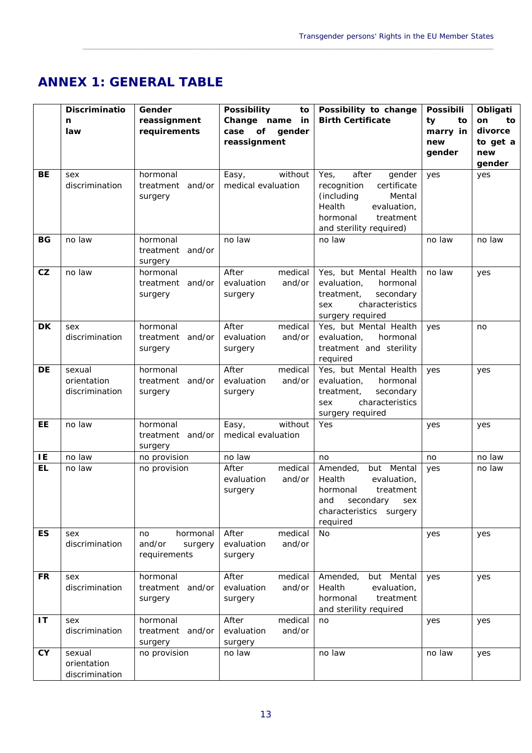## <span id="page-15-0"></span>**ANNEX 1: GENERAL TABLE**

|           | Discriminatio                           | Gender                                              | <b>Possibility</b><br>to                               | Possibility to change                                                                                                                                      | Possibili                             | Obligati                                         |
|-----------|-----------------------------------------|-----------------------------------------------------|--------------------------------------------------------|------------------------------------------------------------------------------------------------------------------------------------------------------------|---------------------------------------|--------------------------------------------------|
|           | n<br>law                                | reassignment<br>requirements                        | Change name<br>in<br>case of<br>gender<br>reassignment | <b>Birth Certificate</b>                                                                                                                                   | ty<br>to<br>marry in<br>new<br>gender | on<br>to<br>divorce<br>to get a<br>new<br>gender |
| BE        | sex<br>discrimination                   | hormonal<br>treatment and/or<br>surgery             | without<br>Easy,<br>medical evaluation                 | Yes,<br>after<br>gender<br>recognition<br>certificate<br>(including<br>Mental<br>Health<br>evaluation,<br>hormonal<br>treatment<br>and sterility required) | yes                                   | yes                                              |
| BG        | no law                                  | hormonal<br>treatment and/or<br>surgery             | no law                                                 | no law                                                                                                                                                     | no law                                | no law                                           |
| CZ        | no law                                  | hormonal<br>treatment and/or<br>surgery             | After<br>medical<br>evaluation<br>and/or<br>surgery    | Yes, but Mental Health<br>evaluation,<br>hormonal<br>secondary<br>treatment,<br>characteristics<br>sex<br>surgery required                                 | no law                                | yes                                              |
| DK        | sex<br>discrimination                   | hormonal<br>treatment and/or<br>surgery             | After<br>medical<br>evaluation<br>and/or<br>surgery    | Yes, but Mental Health<br>evaluation,<br>hormonal<br>treatment and sterility<br>required                                                                   | yes                                   | no                                               |
| <b>DE</b> | sexual<br>orientation<br>discrimination | hormonal<br>treatment and/or<br>surgery             | After<br>medical<br>evaluation<br>and/or<br>surgery    | Yes, but Mental Health<br>evaluation,<br>hormonal<br>secondary<br>treatment,<br>characteristics<br>sex<br>surgery required                                 | yes                                   | yes                                              |
| EE        | no law                                  | hormonal<br>treatment and/or<br>surgery             | without<br>Easy,<br>medical evaluation                 | Yes                                                                                                                                                        | yes                                   | yes                                              |
| IE        | no law                                  | no provision                                        | no law                                                 | no                                                                                                                                                         | no                                    | no law                                           |
| <b>EL</b> | no law                                  | no provision                                        | medical<br>After<br>evaluation<br>and/or<br>surgery    | but Mental<br>Amended,<br>Health<br>evaluation,<br>treatment<br>hormonal<br>and<br>secondary<br>sex<br>characteristics surgery<br>required                 | yes                                   | no law                                           |
| <b>ES</b> | sex<br>discrimination                   | hormonal<br>no<br>and/or<br>surgery<br>requirements | After<br>medical<br>and/or<br>evaluation<br>surgery    | <b>No</b>                                                                                                                                                  | yes                                   | yes                                              |
| FR        | sex<br>discrimination                   | hormonal<br>treatment and/or<br>surgery             | After<br>medical<br>evaluation<br>and/or<br>surgery    | Amended,<br>but Mental<br>Health<br>evaluation,<br>hormonal<br>treatment<br>and sterility required                                                         | yes                                   | yes                                              |
| IT        | sex<br>discrimination                   | hormonal<br>treatment and/or<br>surgery             | After<br>medical<br>evaluation<br>and/or<br>surgery    | no                                                                                                                                                         | yes                                   | yes                                              |
| <b>CY</b> | sexual<br>orientation<br>discrimination | no provision                                        | no law                                                 | no law                                                                                                                                                     | no law                                | yes                                              |

\_\_\_\_\_\_\_\_\_\_\_\_\_\_\_\_\_\_\_\_\_\_\_\_\_\_\_\_\_\_\_\_\_\_\_\_\_\_\_\_\_\_\_\_\_\_\_\_\_\_\_\_\_\_\_\_\_\_\_\_\_\_\_\_\_\_\_\_\_\_\_\_\_\_\_\_\_\_\_\_\_\_\_\_\_\_\_\_\_\_\_\_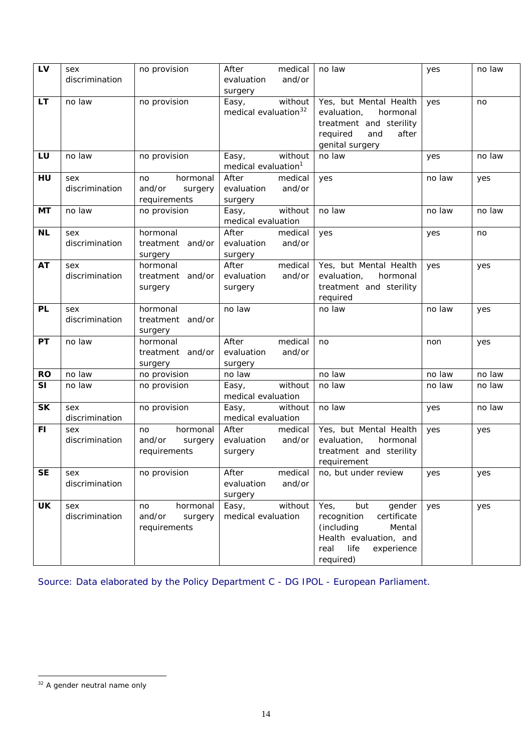| LV        | sex<br>discrimination | no provision                                        | After<br>medical<br>and/or<br>evaluation<br>surgery  | no law                                                                                                                                           | yes    | no law |
|-----------|-----------------------|-----------------------------------------------------|------------------------------------------------------|--------------------------------------------------------------------------------------------------------------------------------------------------|--------|--------|
| <b>LT</b> | no law                | no provision                                        | without<br>Easy,<br>medical evaluation <sup>32</sup> | Yes, but Mental Health<br>evaluation,<br>hormonal<br>treatment and sterility<br>after<br>required<br>and<br>genital surgery                      | yes    | no     |
| LU        | no law                | no provision                                        | without<br>Easy,<br>medical evaluation <sup>1</sup>  | no law                                                                                                                                           | yes    | no law |
| HU        | sex<br>discrimination | hormonal<br>no<br>and/or<br>surgery<br>requirements | After<br>medical<br>evaluation<br>and/or<br>surgery  | yes                                                                                                                                              | no law | yes    |
| МT        | no law                | no provision                                        | without<br>Easy,<br>medical evaluation               | no law                                                                                                                                           | no law | no law |
| <b>NL</b> | sex<br>discrimination | hormonal<br>treatment and/or<br>surgery             | After<br>medical<br>and/or<br>evaluation<br>surgery  | yes                                                                                                                                              | yes    | no     |
| <b>AT</b> | sex<br>discrimination | hormonal<br>treatment and/or<br>surgery             | medical<br>After<br>and/or<br>evaluation<br>surgery  | Yes, but Mental Health<br>evaluation,<br>hormonal<br>treatment and sterility<br>required                                                         | yes    | yes    |
| PL        | sex<br>discrimination | hormonal<br>treatment and/or<br>surgery             | no law                                               | no law                                                                                                                                           | no law | yes    |
| <b>PT</b> | no law                | hormonal<br>treatment and/or<br>surgery             | After<br>medical<br>and/or<br>evaluation<br>surgery  | no                                                                                                                                               | non    | yes    |
| <b>RO</b> | no law                | no provision                                        | no law                                               | no law                                                                                                                                           | no law | no law |
| <b>SI</b> | no law                | no provision                                        | without<br>Easy,<br>medical evaluation               | no law                                                                                                                                           | no law | no law |
| <b>SK</b> | sex<br>discrimination | no provision                                        | without<br>Easy,<br>medical evaluation               | no law                                                                                                                                           | yes    | no law |
| FI.       | sex<br>discrimination | hormonal<br>no<br>and/or<br>surgery<br>requirements | After<br>medical<br>evaluation<br>and/or<br>surgery  | Yes, but Mental Health<br>evaluation,<br>hormonal<br>treatment and sterility<br>requirement                                                      | yes    | yes    |
| <b>SE</b> | sex<br>discrimination | no provision                                        | After<br>medical<br>evaluation<br>and/or<br>surgery  | no, but under review                                                                                                                             | yes    | yes    |
| <b>UK</b> | sex<br>discrimination | hormonal<br>no<br>and/or<br>surgery<br>requirements | without<br>Easy,<br>medical evaluation               | Yes,<br>but<br>gender<br>recognition<br>certificate<br>(including<br>Mental<br>Health evaluation, and<br>real<br>life<br>experience<br>required) | yes    | yes    |

<span id="page-16-0"></span>Source: Data elaborated by the Policy Department C - DG IPOL - European Parliament.

 $\overline{a}$ 

<span id="page-16-1"></span> $32$  A gender neutral name only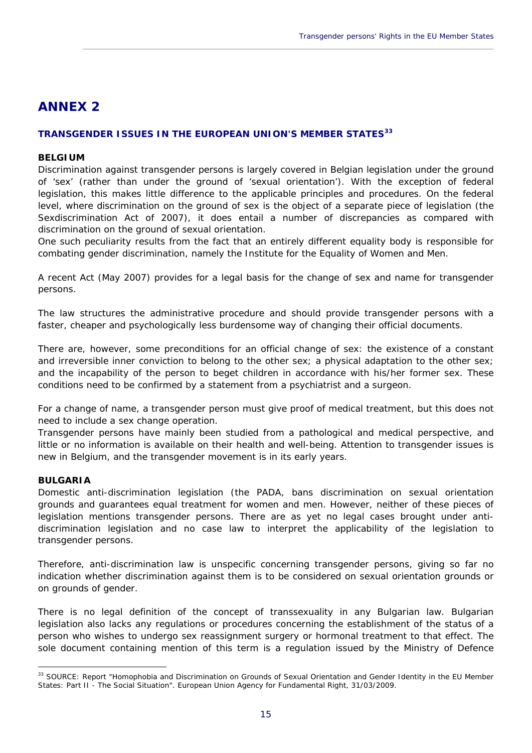## <span id="page-17-0"></span>**ANNEX 2**

#### **TRANSGENDER ISSUES IN THE EUROPEAN UNION'S MEMBER STATES[33](#page-17-1)**

#### **BELGIUM**

Discrimination against transgender persons is largely covered in Belgian legislation under the ground of 'sex' (rather than under the ground of 'sexual orientation'). With the exception of federal legislation, this makes little difference to the applicable principles and procedures. On the federal level, where discrimination on the ground of sex is the object of a separate piece of legislation (the Sexdiscrimination Act of 2007), it does entail a number of discrepancies as compared with discrimination on the ground of sexual orientation.

\_\_\_\_\_\_\_\_\_\_\_\_\_\_\_\_\_\_\_\_\_\_\_\_\_\_\_\_\_\_\_\_\_\_\_\_\_\_\_\_\_\_\_\_\_\_\_\_\_\_\_\_\_\_\_\_\_\_\_\_\_\_\_\_\_\_\_\_\_\_\_\_\_\_\_\_\_\_\_\_\_\_\_\_\_\_\_\_\_\_\_\_

One such peculiarity results from the fact that an entirely different equality body is responsible for combating gender discrimination, namely the Institute for the Equality of Women and Men.

A recent Act (May 2007) provides for a legal basis for the change of sex and name for transgender persons.

The law structures the administrative procedure and should provide transgender persons with a faster, cheaper and psychologically less burdensome way of changing their official documents.

There are, however, some preconditions for an official change of sex: the existence of a constant and irreversible inner conviction to belong to the other sex; a physical adaptation to the other sex; and the incapability of the person to beget children in accordance with his/her former sex. These conditions need to be confirmed by a statement from a psychiatrist and a surgeon.

For a change of name, a transgender person must give proof of medical treatment, but this does not need to include a sex change operation.

Transgender persons have mainly been studied from a pathological and medical perspective, and little or no information is available on their health and well-being. Attention to transgender issues is new in Belgium, and the transgender movement is in its early years.

#### **BULGARIA**

 $\overline{a}$ 

Domestic anti-discrimination legislation (the PADA, bans discrimination on sexual orientation grounds and guarantees equal treatment for women and men. However, neither of these pieces of legislation mentions transgender persons. There are as yet no legal cases brought under antidiscrimination legislation and no case law to interpret the applicability of the legislation to transgender persons.

Therefore, anti-discrimination law is unspecific concerning transgender persons, giving so far no indication whether discrimination against them is to be considered on sexual orientation grounds or on grounds of gender.

There is no legal definition of the concept of transsexuality in any Bulgarian law. Bulgarian legislation also lacks any regulations or procedures concerning the establishment of the status of a person who wishes to undergo sex reassignment surgery or hormonal treatment to that effect. The sole document containing mention of this term is a regulation issued by the Ministry of Defence

<span id="page-17-1"></span><sup>33</sup> SOURCE: Report "Homophobia and Discrimination on Grounds of Sexual Orientation and Gender Identity in the EU Member States: Part II - The Social Situation". European Union Agency for Fundamental Right, 31/03/2009.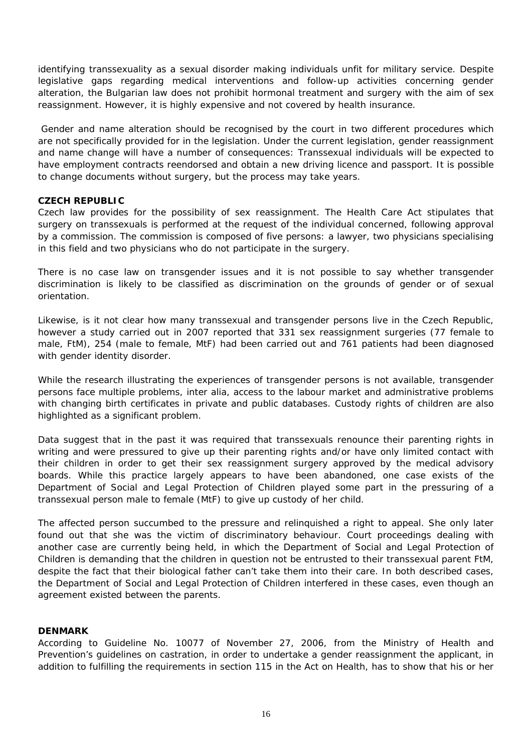identifying transsexuality as a sexual disorder making individuals unfit for military service. Despite legislative gaps regarding medical interventions and follow-up activities concerning gender alteration, the Bulgarian law does not prohibit hormonal treatment and surgery with the aim of sex reassignment. However, it is highly expensive and not covered by health insurance.

 Gender and name alteration should be recognised by the court in two different procedures which are not specifically provided for in the legislation. Under the current legislation, gender reassignment and name change will have a number of consequences: Transsexual individuals will be expected to have employment contracts reendorsed and obtain a new driving licence and passport. It is possible to change documents without surgery, but the process may take years.

#### **CZECH REPUBLIC**

Czech law provides for the possibility of sex reassignment. The Health Care Act stipulates that surgery on transsexuals is performed at the request of the individual concerned, following approval by a commission. The commission is composed of five persons: a lawyer, two physicians specialising in this field and two physicians who do not participate in the surgery.

There is no case law on transgender issues and it is not possible to say whether transgender discrimination is likely to be classified as discrimination on the grounds of gender or of sexual orientation.

Likewise, is it not clear how many transsexual and transgender persons live in the Czech Republic, however a study carried out in 2007 reported that 331 sex reassignment surgeries (77 female to male, FtM), 254 (male to female, MtF) had been carried out and 761 patients had been diagnosed with gender identity disorder.

While the research illustrating the experiences of transgender persons is not available, transgender persons face multiple problems, inter alia, access to the labour market and administrative problems with changing birth certificates in private and public databases. Custody rights of children are also highlighted as a significant problem.

Data suggest that in the past it was required that transsexuals renounce their parenting rights in writing and were pressured to give up their parenting rights and/or have only limited contact with their children in order to get their sex reassignment surgery approved by the medical advisory boards. While this practice largely appears to have been abandoned, one case exists of the Department of Social and Legal Protection of Children played some part in the pressuring of a transsexual person male to female (MtF) to give up custody of her child.

The affected person succumbed to the pressure and relinquished a right to appeal. She only later found out that she was the victim of discriminatory behaviour. Court proceedings dealing with another case are currently being held, in which the Department of Social and Legal Protection of Children is demanding that the children in question not be entrusted to their transsexual parent FtM, despite the fact that their biological father can't take them into their care. In both described cases, the Department of Social and Legal Protection of Children interfered in these cases, even though an agreement existed between the parents.

#### **DENMARK**

According to Guideline No. 10077 of November 27, 2006, from the Ministry of Health and Prevention's guidelines on castration, in order to undertake a gender reassignment the applicant, in addition to fulfilling the requirements in section 115 in the Act on Health, has to show that his or her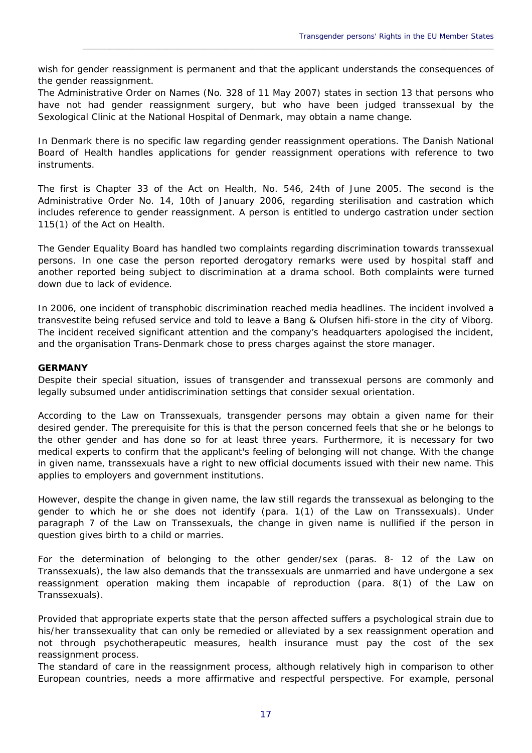wish for gender reassignment is permanent and that the applicant understands the consequences of the gender reassignment.

\_\_\_\_\_\_\_\_\_\_\_\_\_\_\_\_\_\_\_\_\_\_\_\_\_\_\_\_\_\_\_\_\_\_\_\_\_\_\_\_\_\_\_\_\_\_\_\_\_\_\_\_\_\_\_\_\_\_\_\_\_\_\_\_\_\_\_\_\_\_\_\_\_\_\_\_\_\_\_\_\_\_\_\_\_\_\_\_\_\_\_\_

The Administrative Order on Names (No. 328 of 11 May 2007) states in section 13 that persons who have not had gender reassignment surgery, but who have been judged transsexual by the Sexological Clinic at the National Hospital of Denmark, may obtain a name change.

In Denmark there is no specific law regarding gender reassignment operations. The Danish National Board of Health handles applications for gender reassignment operations with reference to two instruments.

The first is Chapter 33 of the Act on Health, No. 546, 24th of June 2005. The second is the Administrative Order No. 14, 10th of January 2006, regarding sterilisation and castration which includes reference to gender reassignment. A person is entitled to undergo castration under section 115(1) of the Act on Health.

The Gender Equality Board has handled two complaints regarding discrimination towards transsexual persons. In one case the person reported derogatory remarks were used by hospital staff and another reported being subject to discrimination at a drama school. Both complaints were turned down due to lack of evidence.

In 2006, one incident of transphobic discrimination reached media headlines. The incident involved a transvestite being refused service and told to leave a Bang & Olufsen hifi-store in the city of Viborg. The incident received significant attention and the company's headquarters apologised the incident, and the organisation *Trans-Denmark* chose to press charges against the store manager.

#### **GERMANY**

Despite their special situation, issues of transgender and transsexual persons are commonly and legally subsumed under antidiscrimination settings that consider sexual orientation.

According to the *Law on Transsexuals*, transgender persons may obtain a given name for their desired gender. The prerequisite for this is that the person concerned feels that she or he belongs to the other gender and has done so for at least three years. Furthermore, it is necessary for two medical experts to confirm that the applicant's feeling of belonging will not change. With the change in given name, transsexuals have a right to new official documents issued with their new name. This applies to employers and government institutions.

However, despite the change in given name, the law still regards the transsexual as belonging to the gender to which he or she does not identify (para. 1(1) of the Law on Transsexuals). Under paragraph 7 of the Law on Transsexuals, the change in given name is nullified if the person in question gives birth to a child or marries.

For the determination of belonging to the other gender/sex (paras. 8- 12 of the Law on Transsexuals), the law also demands that the transsexuals are unmarried and have undergone a sex reassignment operation making them incapable of reproduction (para. 8(1) of the Law on Transsexuals).

Provided that appropriate experts state that the person affected suffers a psychological strain due to his/her transsexuality that can only be remedied or alleviated by a sex reassignment operation and not through psychotherapeutic measures, health insurance must pay the cost of the sex reassignment process.

The standard of care in the reassignment process, although relatively high in comparison to other European countries, needs a more affirmative and respectful perspective. For example, personal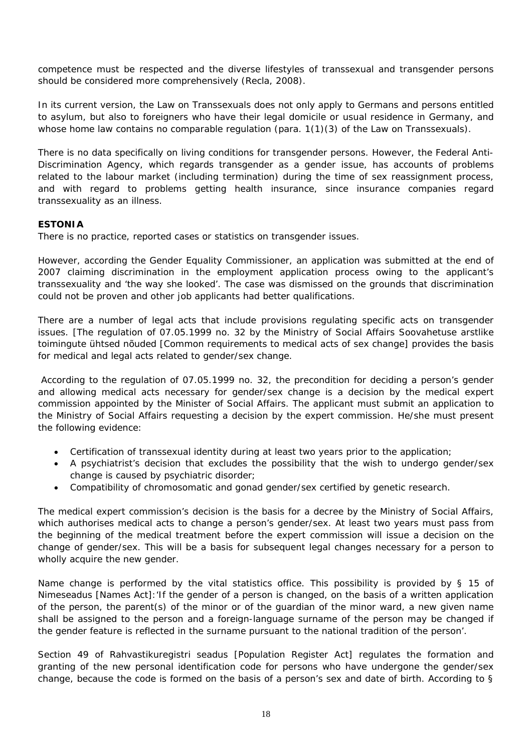competence must be respected and the diverse lifestyles of transsexual and transgender persons should be considered more comprehensively (Recla, 2008).

In its current version, the Law on Transsexuals does not only apply to Germans and persons entitled to asylum, but also to foreigners who have their legal domicile or usual residence in Germany, and whose home law contains no comparable regulation (para. 1(1)(3) of the Law on Transsexuals).

There is no data specifically on living conditions for transgender persons. However, the *Federal Anti-Discrimination Agency*, which regards transgender as a gender issue, has accounts of problems related to the labour market (including termination) during the time of sex reassignment process, and with regard to problems getting health insurance, since insurance companies regard transsexuality as an illness.

#### **ESTONIA**

There is no practice, reported cases or statistics on transgender issues.

However, according the Gender Equality Commissioner, an application was submitted at the end of 2007 claiming discrimination in the employment application process owing to the applicant's transsexuality and 'the way she looked'. The case was dismissed on the grounds that discrimination could not be proven and other job applicants had better qualifications.

There are a number of legal acts that include provisions regulating specific acts on transgender issues. [The regulation of 07.05.1999 no. 32 by the Ministry of Social Affairs *Soovahetuse arstlike toimingute ühtsed nõuded* [Common requirements to medical acts of sex change] provides the basis for medical and legal acts related to gender/sex change.

 According to the regulation of 07.05.1999 no. 32, the precondition for deciding a person's gender and allowing medical acts necessary for gender/sex change is a decision by the medical expert commission appointed by the Minister of Social Affairs. The applicant must submit an application to the Ministry of Social Affairs requesting a decision by the expert commission. He/she must present the following evidence:

- Certification of transsexual identity during at least two years prior to the application;
- A psychiatrist's decision that excludes the possibility that the wish to undergo gender/sex change is caused by psychiatric disorder;
- Compatibility of chromosomatic and gonad gender/sex certified by genetic research.

The medical expert commission's decision is the basis for a decree by the Ministry of Social Affairs, which authorises medical acts to change a person's gender/sex. At least two years must pass from the beginning of the medical treatment before the expert commission will issue a decision on the change of gender/sex. This will be a basis for subsequent legal changes necessary for a person to wholly acquire the new gender.

Name change is performed by the vital statistics office. This possibility is provided by § 15 of *Nimeseadus* [Names Act]:'If the gender of a person is changed, on the basis of a written application of the person, the parent(s) of the minor or of the guardian of the minor ward, a new given name shall be assigned to the person and a foreign-language surname of the person may be changed if the gender feature is reflected in the surname pursuant to the national tradition of the person'.

Section 49 of *Rahvastikuregistri seadus* [Population Register Act] regulates the formation and granting of the new personal identification code for persons who have undergone the gender/sex change, because the code is formed on the basis of a person's sex and date of birth. According to §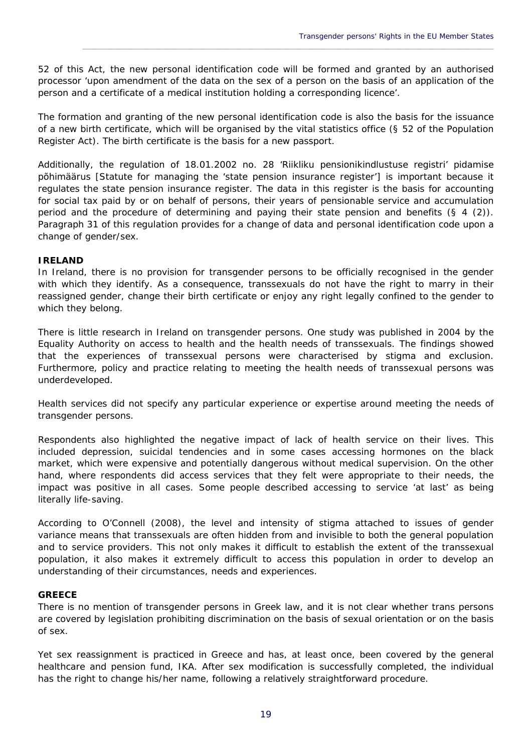52 of this Act, the new personal identification code will be formed and granted by an authorised processor 'upon amendment of the data on the sex of a person on the basis of an application of the person and a certificate of a medical institution holding a corresponding licence'.

\_\_\_\_\_\_\_\_\_\_\_\_\_\_\_\_\_\_\_\_\_\_\_\_\_\_\_\_\_\_\_\_\_\_\_\_\_\_\_\_\_\_\_\_\_\_\_\_\_\_\_\_\_\_\_\_\_\_\_\_\_\_\_\_\_\_\_\_\_\_\_\_\_\_\_\_\_\_\_\_\_\_\_\_\_\_\_\_\_\_\_\_

The formation and granting of the new personal identification code is also the basis for the issuance of a new birth certificate, which will be organised by the vital statistics office (§ 52 of the Population Register Act). The birth certificate is the basis for a new passport.

Additionally, the regulation of 18.01.2002 no. 28 '*Riikliku pensionikindlustuse registri' pidamise põhimäärus* [Statute for managing the 'state pension insurance register'] is important because it regulates the state pension insurance register. The data in this register is the basis for accounting for social tax paid by or on behalf of persons, their years of pensionable service and accumulation period and the procedure of determining and paying their state pension and benefits (§ 4 (2)). Paragraph 31 of this regulation provides for a change of data and personal identification code upon a change of gender/sex.

#### **IRELAND**

In Ireland, there is no provision for transgender persons to be officially recognised in the gender with which they identify. As a consequence, transsexuals do not have the right to marry in their reassigned gender, change their birth certificate or enjoy any right legally confined to the gender to which they belong.

There is little research in Ireland on transgender persons. One study was published in 2004 by the *Equality Authority* on access to health and the health needs of transsexuals. The findings showed that the experiences of transsexual persons were characterised by stigma and exclusion. Furthermore, policy and practice relating to meeting the health needs of transsexual persons was underdeveloped.

Health services did not specify any particular experience or expertise around meeting the needs of transgender persons.

Respondents also highlighted the negative impact of lack of health service on their lives. This included depression, suicidal tendencies and in some cases accessing hormones on the black market, which were expensive and potentially dangerous without medical supervision. On the other hand, where respondents did access services that they felt were appropriate to their needs, the impact was positive in all cases. Some people described accessing to service 'at last' as being literally life-saving.

According to O'Connell (2008), the level and intensity of stigma attached to issues of gender variance means that transsexuals are often hidden from and invisible to both the general population and to service providers. This not only makes it difficult to establish the extent of the transsexual population, it also makes it extremely difficult to access this population in order to develop an understanding of their circumstances, needs and experiences.

#### **GREECE**

There is no mention of transgender persons in Greek law, and it is not clear whether trans persons are covered by legislation prohibiting discrimination on the basis of sexual orientation or on the basis of sex.

Yet sex reassignment is practiced in Greece and has, at least once, been covered by the general healthcare and pension fund, IKA. After sex modification is successfully completed, the individual has the right to change his/her name, following a relatively straightforward procedure.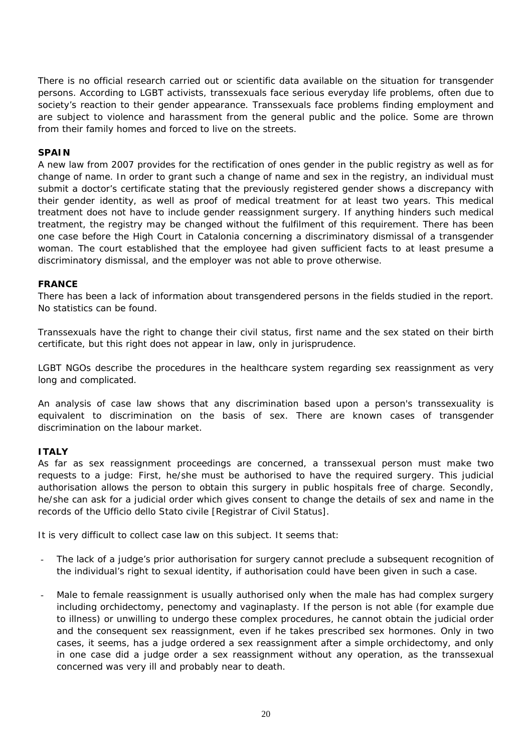There is no official research carried out or scientific data available on the situation for transgender persons. According to LGBT activists, transsexuals face serious everyday life problems, often due to society's reaction to their gender appearance. Transsexuals face problems finding employment and are subject to violence and harassment from the general public and the police. Some are thrown from their family homes and forced to live on the streets.

#### **SPAIN**

A new law from 2007 provides for the rectification of ones gender in the public registry as well as for change of name. In order to grant such a change of name and sex in the registry, an individual must submit a doctor's certificate stating that the previously registered gender shows a discrepancy with their gender identity, as well as proof of medical treatment for at least two years. This medical treatment does not have to include gender reassignment surgery. If anything hinders such medical treatment, the registry may be changed without the fulfilment of this requirement. There has been one case before the High Court in Catalonia concerning a discriminatory dismissal of a transgender woman. The court established that the employee had given sufficient facts to at least presume a discriminatory dismissal, and the employer was not able to prove otherwise.

#### **FRANCE**

There has been a lack of information about transgendered persons in the fields studied in the report. No statistics can be found.

Transsexuals have the right to change their civil status, first name and the sex stated on their birth certificate, but this right does not appear in law, only in jurisprudence.

LGBT NGOs describe the procedures in the healthcare system regarding sex reassignment as very long and complicated.

An analysis of case law shows that any discrimination based upon a person's transsexuality is equivalent to discrimination on the basis of sex. There are known cases of transgender discrimination on the labour market.

#### **ITALY**

As far as sex reassignment proceedings are concerned, a transsexual person must make two requests to a judge: First, he/she must be authorised to have the required surgery. This judicial authorisation allows the person to obtain this surgery in public hospitals free of charge. Secondly, he/she can ask for a judicial order which gives consent to change the details of sex and name in the records of the *Ufficio dello Stato civile* [Registrar of Civil Status].

It is very difficult to collect case law on this subject. It seems that:

- The lack of a judge's prior authorisation for surgery cannot preclude a subsequent recognition of the individual's right to sexual identity, if authorisation could have been given in such a case.
- Male to female reassignment is usually authorised only when the male has had complex surgery including orchidectomy, penectomy and vaginaplasty. If the person is not able (for example due to illness) or unwilling to undergo these complex procedures, he cannot obtain the judicial order and the consequent sex reassignment, even if he takes prescribed sex hormones. Only in two cases, it seems, has a judge ordered a sex reassignment after a simple orchidectomy, and only in one case did a judge order a sex reassignment without any operation, as the transsexual concerned was very ill and probably near to death.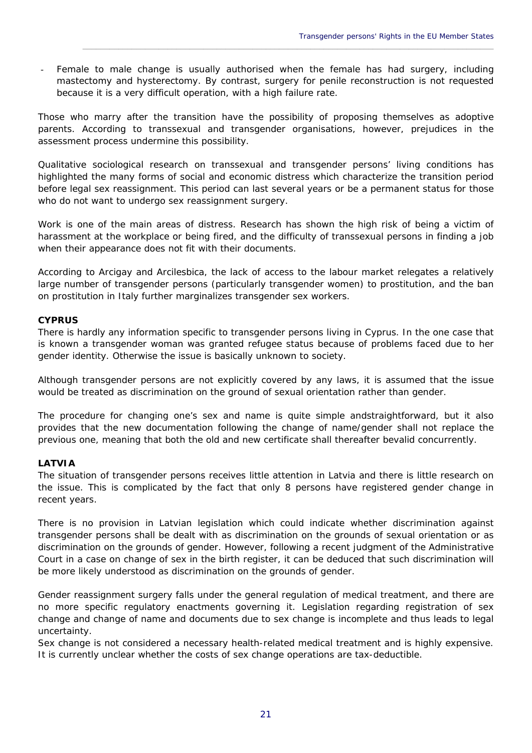Female to male change is usually authorised when the female has had surgery, including mastectomy and hysterectomy. By contrast, surgery for penile reconstruction is not requested because it is a very difficult operation, with a high failure rate.

\_\_\_\_\_\_\_\_\_\_\_\_\_\_\_\_\_\_\_\_\_\_\_\_\_\_\_\_\_\_\_\_\_\_\_\_\_\_\_\_\_\_\_\_\_\_\_\_\_\_\_\_\_\_\_\_\_\_\_\_\_\_\_\_\_\_\_\_\_\_\_\_\_\_\_\_\_\_\_\_\_\_\_\_\_\_\_\_\_\_\_\_

Those who marry after the transition have the possibility of proposing themselves as adoptive parents. According to transsexual and transgender organisations, however, prejudices in the assessment process undermine this possibility.

Qualitative sociological research on transsexual and transgender persons' living conditions has highlighted the many forms of social and economic distress which characterize the transition period before legal sex reassignment. This period can last several years or be a permanent status for those who do not want to undergo sex reassignment surgery.

Work is one of the main areas of distress. Research has shown the high risk of being a victim of harassment at the workplace or being fired, and the difficulty of transsexual persons in finding a job when their appearance does not fit with their documents.

According to *Arcigay* and *Arcilesbica,* the lack of access to the labour market relegates a relatively large number of transgender persons (particularly transgender women) to prostitution, and the ban on prostitution in Italy further marginalizes transgender sex workers.

#### **CYPRUS**

There is hardly any information specific to transgender persons living in Cyprus. In the one case that is known a transgender woman was granted refugee status because of problems faced due to her gender identity. Otherwise the issue is basically unknown to society.

Although transgender persons are not explicitly covered by any laws, it is assumed that the issue would be treated as discrimination on the ground of sexual orientation rather than gender.

The procedure for changing one's sex and name is quite simple andstraightforward, but it also provides that the new documentation following the change of name/gender shall not replace the previous one, meaning that both the old and new certificate shall thereafter bevalid concurrently.

#### **LATVIA**

The situation of transgender persons receives little attention in Latvia and there is little research on the issue. This is complicated by the fact that only 8 persons have registered gender change in recent years.

There is no provision in Latvian legislation which could indicate whether discrimination against transgender persons shall be dealt with as discrimination on the grounds of sexual orientation or as discrimination on the grounds of gender. However, following a recent judgment of the Administrative Court in a case on change of sex in the birth register, it can be deduced that such discrimination will be more likely understood as discrimination on the grounds of gender.

Gender reassignment surgery falls under the general regulation of medical treatment, and there are no more specific regulatory enactments governing it. Legislation regarding registration of sex change and change of name and documents due to sex change is incomplete and thus leads to legal uncertainty.

Sex change is not considered a necessary health-related medical treatment and is highly expensive. It is currently unclear whether the costs of sex change operations are tax-deductible.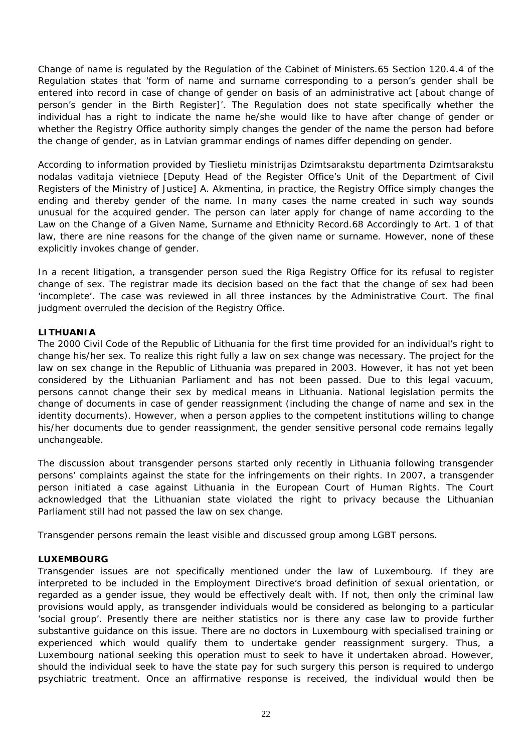Change of name is regulated by the Regulation of the Cabinet of Ministers.65 Section 120.4.4 of the Regulation states that 'form of name and surname corresponding to a person's gender shall be entered into record in case of change of gender on basis of an administrative act [about change of person's gender in the Birth Register]'. The Regulation does not state specifically whether the individual has a right to indicate the name he/she would like to have after change of gender or whether the Registry Office authority simply changes the gender of the name the person had before the change of gender, as in Latvian grammar endings of names differ depending on gender.

According to information provided by *Tieslietu ministrijas Dzimtsarakstu departmenta Dzimtsarakstu noda*l*as vad*i*t*a*ja vietniece* [Deputy Head of the Register Office's Unit of the Department of Civil Registers of the Ministry of Justice] A. Akmentina, in practice, the Registry Office simply changes the ending and thereby gender of the name. In many cases the name created in such way sounds unusual for the acquired gender. The person can later apply for change of name according to the Law on the Change of a Given Name, Surname and Ethnicity Record.68 Accordingly to Art. 1 of that law, there are nine reasons for the change of the given name or surname. However, none of these explicitly invokes change of gender.

In a recent litigation, a transgender person sued the Riga Registry Office for its refusal to register change of sex. The registrar made its decision based on the fact that the change of sex had been 'incomplete'. The case was reviewed in all three instances by the Administrative Court. The final judgment overruled the decision of the Registry Office.

#### **LITHUANIA**

The 2000 Civil Code of the Republic of Lithuania for the first time provided for an individual's right to change his/her sex. To realize this right fully a law on sex change was necessary. The project for *the law on sex change in the Republic of Lithuania* was prepared in 2003. However, it has not yet been considered by the Lithuanian Parliament and has not been passed. Due to this legal vacuum, persons cannot change their sex by medical means in Lithuania. National legislation permits the change of documents in case of gender reassignment (including the change of name and sex in the identity documents). However, when a person applies to the competent institutions willing to change his/her documents due to gender reassignment, the gender sensitive personal code remains legally unchangeable.

The discussion about transgender persons started only recently in Lithuania following transgender persons' complaints against the state for the infringements on their rights. In 2007, a transgender person initiated a case against Lithuania in the European Court of Human Rights. The Court acknowledged that the Lithuanian state violated the right to privacy because the Lithuanian Parliament still had not passed the law on sex change.

Transgender persons remain the least visible and discussed group among LGBT persons.

#### **LUXEMBOURG**

Transgender issues are not specifically mentioned under the law of Luxembourg. If they are interpreted to be included in the Employment Directive's broad definition of sexual orientation, or regarded as a gender issue, they would be effectively dealt with. If not, then only the criminal law provisions would apply, as transgender individuals would be considered as belonging to a particular 'social group'. Presently there are neither statistics nor is there any case law to provide further substantive guidance on this issue. There are no doctors in Luxembourg with specialised training or experienced which would qualify them to undertake gender reassignment surgery. Thus, a Luxembourg national seeking this operation must to seek to have it undertaken abroad. However, should the individual seek to have the state pay for such surgery this person is required to undergo psychiatric treatment. Once an affirmative response is received, the individual would then be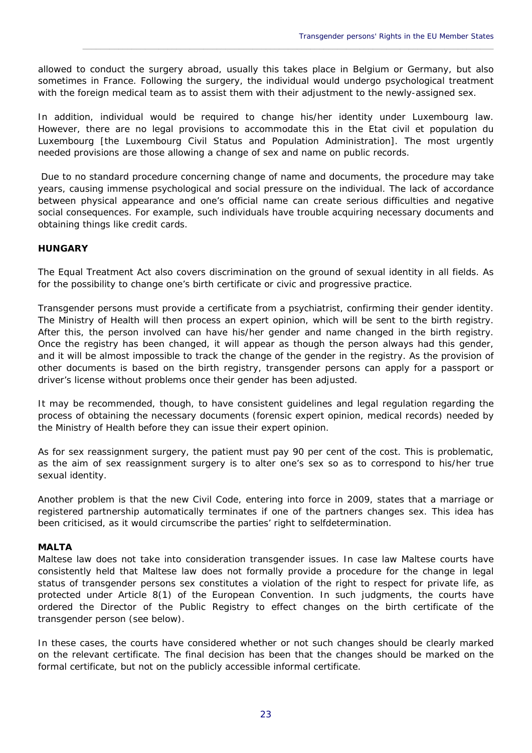allowed to conduct the surgery abroad, usually this takes place in Belgium or Germany, but also sometimes in France. Following the surgery, the individual would undergo psychological treatment with the foreign medical team as to assist them with their adjustment to the newly-assigned sex.

\_\_\_\_\_\_\_\_\_\_\_\_\_\_\_\_\_\_\_\_\_\_\_\_\_\_\_\_\_\_\_\_\_\_\_\_\_\_\_\_\_\_\_\_\_\_\_\_\_\_\_\_\_\_\_\_\_\_\_\_\_\_\_\_\_\_\_\_\_\_\_\_\_\_\_\_\_\_\_\_\_\_\_\_\_\_\_\_\_\_\_\_

In addition, individual would be required to change his/her identity under Luxembourg law. However, there are no legal provisions to accommodate this in the *Etat civil et population du Luxembourg* [the Luxembourg Civil Status and Population Administration]. The most urgently needed provisions are those allowing a change of sex and name on public records.

 Due to no standard procedure concerning change of name and documents, the procedure may take years, causing immense psychological and social pressure on the individual. The lack of accordance between physical appearance and one's official name can create serious difficulties and negative social consequences. For example, such individuals have trouble acquiring necessary documents and obtaining things like credit cards.

#### **HUNGARY**

The Equal Treatment Act also covers discrimination on the ground of sexual identity in all fields. As for the possibility to change one's birth certificate or civic and progressive practice.

Transgender persons must provide a certificate from a psychiatrist, confirming their gender identity. The Ministry of Health will then process an expert opinion, which will be sent to the birth registry. After this, the person involved can have his/her gender and name changed in the birth registry. Once the registry has been changed, it will appear as though the person always had this gender, and it will be almost impossible to track the change of the gender in the registry. As the provision of other documents is based on the birth registry, transgender persons can apply for a passport or driver's license without problems once their gender has been adjusted.

It may be recommended, though, to have consistent guidelines and legal regulation regarding the process of obtaining the necessary documents (forensic expert opinion, medical records) needed by the Ministry of Health before they can issue their expert opinion.

As for sex reassignment surgery, the patient must pay 90 per cent of the cost. This is problematic, as the aim of sex reassignment surgery is to alter one's sex so as to correspond to his/her true sexual identity.

Another problem is that the new Civil Code, entering into force in 2009, states that a marriage or registered partnership automatically terminates if one of the partners changes sex. This idea has been criticised, as it would circumscribe the parties' right to selfdetermination.

#### **MALTA**

Maltese law does not take into consideration transgender issues. In case law Maltese courts have consistently held that Maltese law does not formally provide a procedure for the change in legal status of transgender persons sex constitutes a violation of the right to respect for private life, as protected under Article 8(1) of the European Convention. In such judgments, the courts have ordered the Director of the Public Registry to effect changes on the birth certificate of the transgender person (see below).

In these cases, the courts have considered whether or not such changes should be clearly marked on the relevant certificate. The final decision has been that the changes should be marked on the formal certificate, but not on the publicly accessible informal certificate.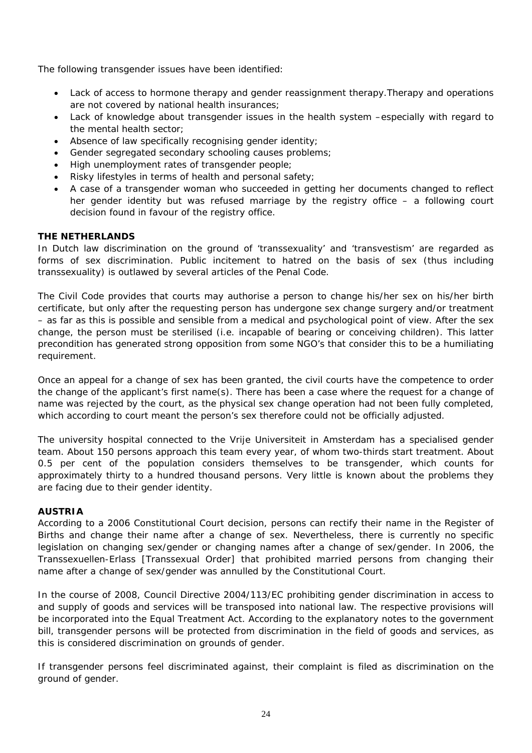The following transgender issues have been identified:

- Lack of access to hormone therapy and gender reassignment therapy.Therapy and operations are not covered by national health insurances;
- Lack of knowledge about transgender issues in the health system –especially with regard to the mental health sector;
- Absence of law specifically recognising gender identity;
- Gender segregated secondary schooling causes problems;
- High unemployment rates of transgender people;
- Risky lifestyles in terms of health and personal safety;
- A case of a transgender woman who succeeded in getting her documents changed to reflect her gender identity but was refused marriage by the registry office – a following court decision found in favour of the registry office.

#### **THE NETHERLANDS**

In Dutch law discrimination on the ground of 'transsexuality' and 'transvestism' are regarded as forms of sex discrimination. Public incitement to hatred on the basis of sex (thus including transsexuality) is outlawed by several articles of the Penal Code.

The Civil Code provides that courts may authorise a person to change his/her sex on his/her birth certificate, but only after the requesting person has undergone sex change surgery and/or treatment – as far as this is possible and sensible from a medical and psychological point of view. After the sex change, the person must be sterilised (i.e. incapable of bearing or conceiving children). This latter precondition has generated strong opposition from some NGO's that consider this to be a humiliating requirement.

Once an appeal for a change of sex has been granted, the civil courts have the competence to order the change of the applicant's first name(s). There has been a case where the request for a change of name was rejected by the court, as the physical sex change operation had not been fully completed, which according to court meant the person's sex therefore could not be officially adjusted.

The university hospital connected to the *Vrije Universiteit* in Amsterdam has a specialised gender team. About 150 persons approach this team every year, of whom two-thirds start treatment. About 0.5 per cent of the population considers themselves to be transgender, which counts for approximately thirty to a hundred thousand persons. Very little is known about the problems they are facing due to their gender identity.

#### **AUSTRIA**

According to a 2006 Constitutional Court decision, persons can rectify their name in the Register of Births and change their name after a change of sex. Nevertheless, there is currently no specific legislation on changing sex/gender or changing names after a change of sex/gender. In 2006, the *Transsexuellen-Erlass* [Transsexual Order] that prohibited married persons from changing their name after a change of sex/gender was annulled by the Constitutional Court.

In the course of 2008, Council Directive 2004/113/EC prohibiting gender discrimination in access to and supply of goods and services will be transposed into national law. The respective provisions will be incorporated into the Equal Treatment Act. According to the explanatory notes to the government bill, transgender persons will be protected from discrimination in the field of goods and services, as this is considered discrimination on grounds of gender.

If transgender persons feel discriminated against, their complaint is filed as discrimination on the ground of gender.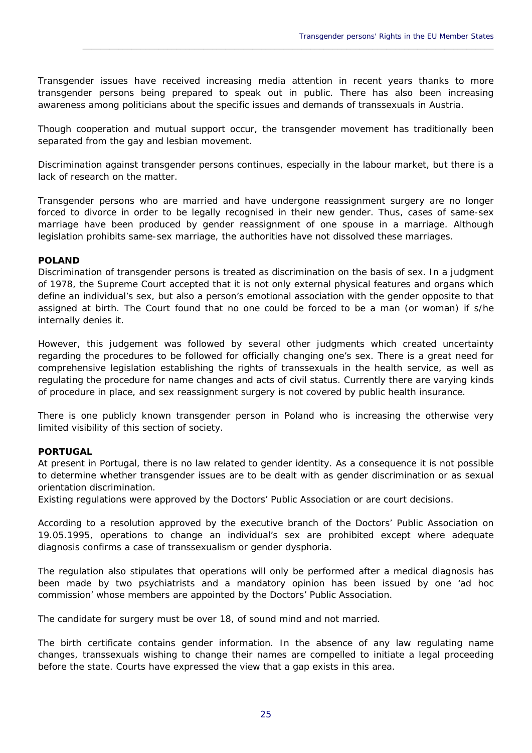Transgender issues have received increasing media attention in recent years thanks to more transgender persons being prepared to speak out in public. There has also been increasing awareness among politicians about the specific issues and demands of transsexuals in Austria.

\_\_\_\_\_\_\_\_\_\_\_\_\_\_\_\_\_\_\_\_\_\_\_\_\_\_\_\_\_\_\_\_\_\_\_\_\_\_\_\_\_\_\_\_\_\_\_\_\_\_\_\_\_\_\_\_\_\_\_\_\_\_\_\_\_\_\_\_\_\_\_\_\_\_\_\_\_\_\_\_\_\_\_\_\_\_\_\_\_\_\_\_

Though cooperation and mutual support occur, the transgender movement has traditionally been separated from the gay and lesbian movement.

Discrimination against transgender persons continues, especially in the labour market, but there is a lack of research on the matter.

Transgender persons who are married and have undergone reassignment surgery are no longer forced to divorce in order to be legally recognised in their new gender. Thus, cases of same-sex marriage have been produced by gender reassignment of one spouse in a marriage. Although legislation prohibits same-sex marriage, the authorities have not dissolved these marriages.

#### **POLAND**

Discrimination of transgender persons is treated as discrimination on the basis of sex. In a judgment of 1978, the Supreme Court accepted that it is not only external physical features and organs which define an individual's sex, but also a person's emotional association with the gender opposite to that assigned at birth. The Court found that no one could be forced to be a man (or woman) if s/he internally denies it.

However, this judgement was followed by several other judgments which created uncertainty regarding the procedures to be followed for officially changing one's sex. There is a great need for comprehensive legislation establishing the rights of transsexuals in the health service, as well as regulating the procedure for name changes and acts of civil status. Currently there are varying kinds of procedure in place, and sex reassignment surgery is not covered by public health insurance.

There is one publicly known transgender person in Poland who is increasing the otherwise very limited visibility of this section of society.

#### **PORTUGAL**

At present in Portugal, there is no law related to gender identity. As a consequence it is not possible to determine whether transgender issues are to be dealt with as gender discrimination or as sexual orientation discrimination.

Existing regulations were approved by the *Doctors' Public Association* or are court decisions.

According to a resolution approved by the executive branch of the Doctors' Public Association on 19.05.1995, operations to change an individual's sex are prohibited except where adequate diagnosis confirms a case of transsexualism or gender dysphoria.

The regulation also stipulates that operations will only be performed after a medical diagnosis has been made by two psychiatrists and a mandatory opinion has been issued by one 'ad hoc commission' whose members are appointed by the Doctors' Public Association.

The candidate for surgery must be over 18, of sound mind and not married.

The birth certificate contains gender information. In the absence of any law regulating name changes, transsexuals wishing to change their names are compelled to initiate a legal proceeding before the state. Courts have expressed the view that a gap exists in this area.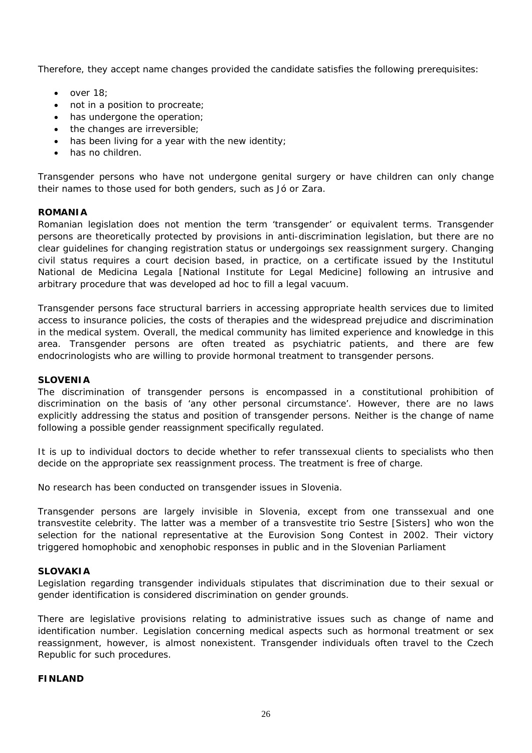Therefore, they accept name changes provided the candidate satisfies the following prerequisites:

- $\bullet$  over 18;
- not in a position to procreate;
- has undergone the operation;
- the changes are irreversible;
- has been living for a year with the new identity;
- has no children.

Transgender persons who have not undergone genital surgery or have children can only change their names to those used for both genders, such as Jó or Zara.

#### **ROMANIA**

Romanian legislation does not mention the term 'transgender' or equivalent terms. Transgender persons are theoretically protected by provisions in anti-discrimination legislation, but there are no clear guidelines for changing registration status or undergoings sex reassignment surgery. Changing civil status requires a court decision based, in practice, on a certificate issued by the *Institutul Na*t*ional de Medicin*a *Legal*a [National Institute for Legal Medicine] following an intrusive and arbitrary procedure that was developed *ad hoc* to fill a legal vacuum.

Transgender persons face structural barriers in accessing appropriate health services due to limited access to insurance policies, the costs of therapies and the widespread prejudice and discrimination in the medical system. Overall, the medical community has limited experience and knowledge in this area. Transgender persons are often treated as psychiatric patients, and there are few endocrinologists who are willing to provide hormonal treatment to transgender persons.

#### **SLOVENIA**

The discrimination of transgender persons is encompassed in a constitutional prohibition of discrimination on the basis of 'any other personal circumstance'. However, there are no laws explicitly addressing the status and position of transgender persons. Neither is the change of name following a possible gender reassignment specifically regulated.

It is up to individual doctors to decide whether to refer transsexual clients to specialists who then decide on the appropriate sex reassignment process. The treatment is free of charge.

No research has been conducted on transgender issues in Slovenia.

Transgender persons are largely invisible in Slovenia, except from one transsexual and one transvestite celebrity. The latter was a member of a transvestite trio *Sestre* [Sisters] who won the selection for the national representative at the Eurovision Song Contest in 2002. Their victory triggered homophobic and xenophobic responses in public and in the Slovenian Parliament

#### **SLOVAKIA**

Legislation regarding transgender individuals stipulates that discrimination due to their sexual or gender identification is considered discrimination on gender grounds.

There are legislative provisions relating to administrative issues such as change of name and identification number. Legislation concerning medical aspects such as hormonal treatment or sex reassignment, however, is almost nonexistent. Transgender individuals often travel to the Czech Republic for such procedures.

#### **FINLAND**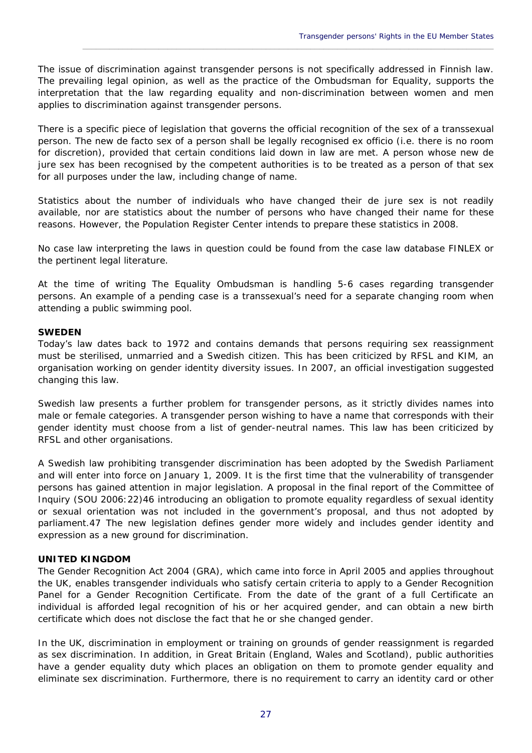The issue of discrimination against transgender persons is not specifically addressed in Finnish law. The prevailing legal opinion, as well as the practice of the Ombudsman for Equality, supports the interpretation that the law regarding equality and non-discrimination between women and men applies to discrimination against transgender persons.

\_\_\_\_\_\_\_\_\_\_\_\_\_\_\_\_\_\_\_\_\_\_\_\_\_\_\_\_\_\_\_\_\_\_\_\_\_\_\_\_\_\_\_\_\_\_\_\_\_\_\_\_\_\_\_\_\_\_\_\_\_\_\_\_\_\_\_\_\_\_\_\_\_\_\_\_\_\_\_\_\_\_\_\_\_\_\_\_\_\_\_\_

There is a specific piece of legislation that governs the official recognition of the sex of a transsexual person. The new *de facto* sex of a person shall be legally recognised *ex officio* (i.e. there is no room for discretion), provided that certain conditions laid down in law are met. A person whose new *de jure* sex has been recognised by the competent authorities is to be treated as a person of that sex for all purposes under the law, including change of name.

Statistics about the number of individuals who have changed their *de jure* sex is not readily available, nor are statistics about the number of persons who have changed their name for these reasons. However, the Population Register Center intends to prepare these statistics in 2008.

No case law interpreting the laws in question could be found from the case law database FINLEX or the pertinent legal literature.

At the time of writing The Equality Ombudsman is handling 5-6 cases regarding transgender persons. An example of a pending case is a transsexual's need for a separate changing room when attending a public swimming pool.

#### **SWEDEN**

Today's law dates back to 1972 and contains demands that persons requiring sex reassignment must be sterilised, unmarried and a Swedish citizen. This has been criticized by *RFSL* and *KIM*, an organisation working on gender identity diversity issues. In 2007, an official investigation suggested changing this law.

Swedish law presents a further problem for transgender persons, as it strictly divides names into male or female categories. A transgender person wishing to have a name that corresponds with their gender identity must choose from a list of gender-neutral names. This law has been criticized by *RFSL* and other organisations.

A Swedish law prohibiting transgender discrimination has been adopted by the Swedish Parliament and will enter into force on January 1, 2009. It is the first time that the vulnerability of transgender persons has gained attention in major legislation. A proposal in the final report of the Committee of Inquiry (SOU 2006:22)46 introducing an obligation to promote equality regardless of sexual identity or sexual orientation was not included in the government's proposal, and thus not adopted by parliament.47 The new legislation defines gender more widely and includes gender identity and expression as a new ground for discrimination.

#### **UNITED KINGDOM**

The *Gender Recognition Act 2004* (GRA), which came into force in April 2005 and applies throughout the UK, enables transgender individuals who satisfy certain criteria to apply to a Gender Recognition Panel for *a Gender Recognition Certificate*. From the date of the grant of a full Certificate an individual is afforded legal recognition of his or her acquired gender, and can obtain a new birth certificate which does not disclose the fact that he or she changed gender.

In the UK, discrimination in employment or training on grounds of gender reassignment is regarded as sex discrimination. In addition, in Great Britain (England, Wales and Scotland), public authorities have a gender equality duty which places an obligation on them to promote gender equality and eliminate sex discrimination. Furthermore, there is no requirement to carry an identity card or other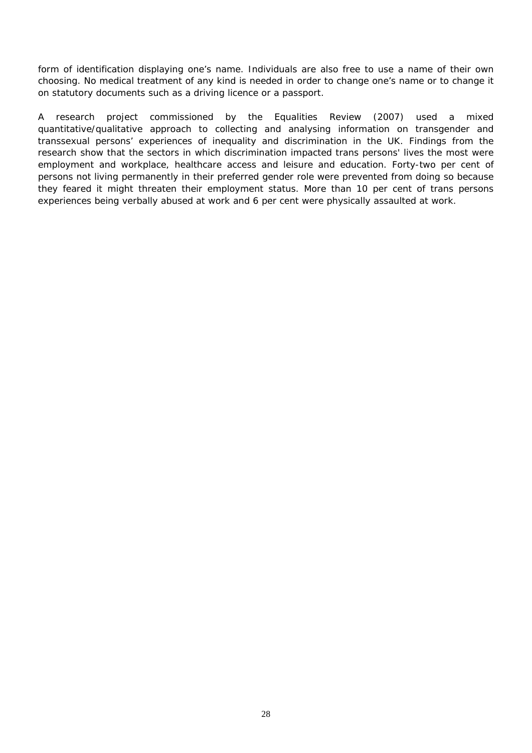form of identification displaying one's name. Individuals are also free to use a name of their own choosing. No medical treatment of any kind is needed in order to change one's name or to change it on statutory documents such as a driving licence or a passport.

A research project commissioned by the *Equalities Review* (2007) used a mixed quantitative/qualitative approach to collecting and analysing information on transgender and transsexual persons' experiences of inequality and discrimination in the UK. Findings from the research show that the sectors in which discrimination impacted trans persons' lives the most were employment and workplace, healthcare access and leisure and education. Forty-two per cent of persons not living permanently in their preferred gender role were prevented from doing so because they feared it might threaten their employment status. More than 10 per cent of trans persons experiences being verbally abused at work and 6 per cent were physically assaulted at work.